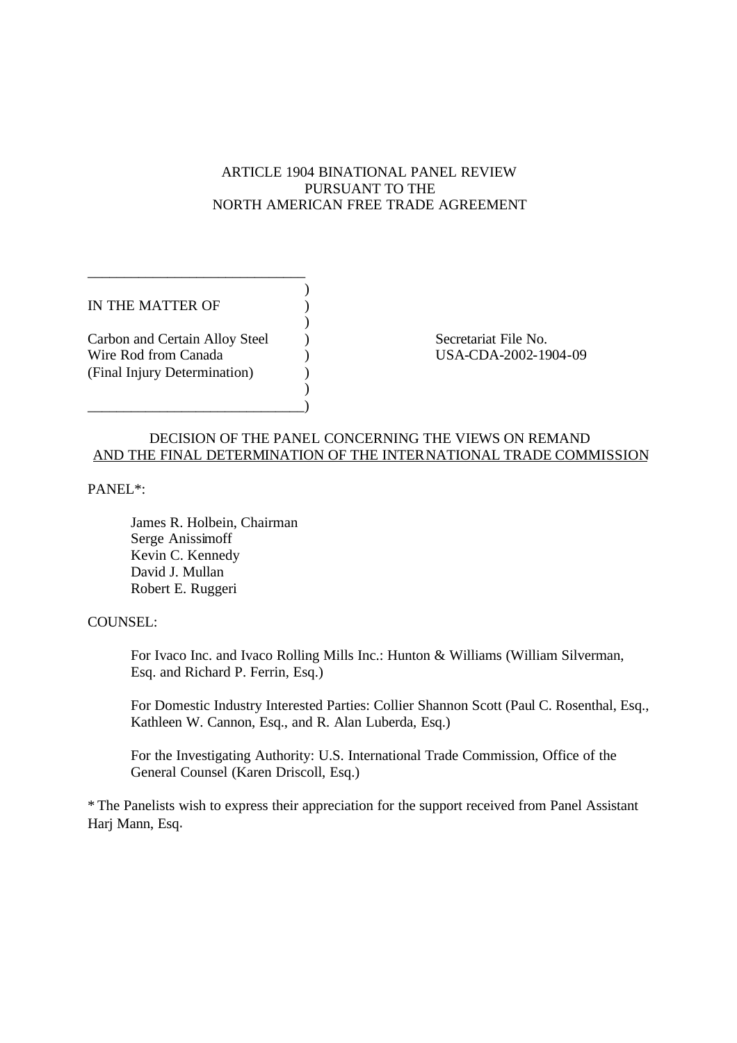# ARTICLE 1904 BINATIONAL PANEL REVIEW PURSUANT TO THE NORTH AMERICAN FREE TRADE AGREEMENT

)

)

)

IN THE MATTER OF  $\qquad \qquad$  )

Carbon and Certain Alloy Steel (and Secretariat File No. Wire Rod from Canada (a) (B) USA-CDA-2002-1904-09 (Final Injury Determination) (a)

\_\_\_\_\_\_\_\_\_\_\_\_\_\_\_\_\_\_\_\_\_\_\_\_\_\_\_\_\_\_)

\_\_\_\_\_\_\_\_\_\_\_\_\_\_\_\_\_\_\_\_\_\_\_\_\_\_\_\_\_\_

# DECISION OF THE PANEL CONCERNING THE VIEWS ON REMAND AND THE FINAL DETERMINATION OF THE INTERNATIONAL TRADE COMMISSION

PANEL\*:

James R. Holbein, Chairman Serge Anissimoff Kevin C. Kennedy David J. Mullan Robert E. Ruggeri

# COUNSEL:

For Ivaco Inc. and Ivaco Rolling Mills Inc.: Hunton & Williams (William Silverman, Esq. and Richard P. Ferrin, Esq.)

For Domestic Industry Interested Parties: Collier Shannon Scott (Paul C. Rosenthal, Esq., Kathleen W. Cannon, Esq., and R. Alan Luberda, Esq.)

For the Investigating Authority: U.S. International Trade Commission, Office of the General Counsel (Karen Driscoll, Esq.)

\* The Panelists wish to express their appreciation for the support received from Panel Assistant Harj Mann, Esq.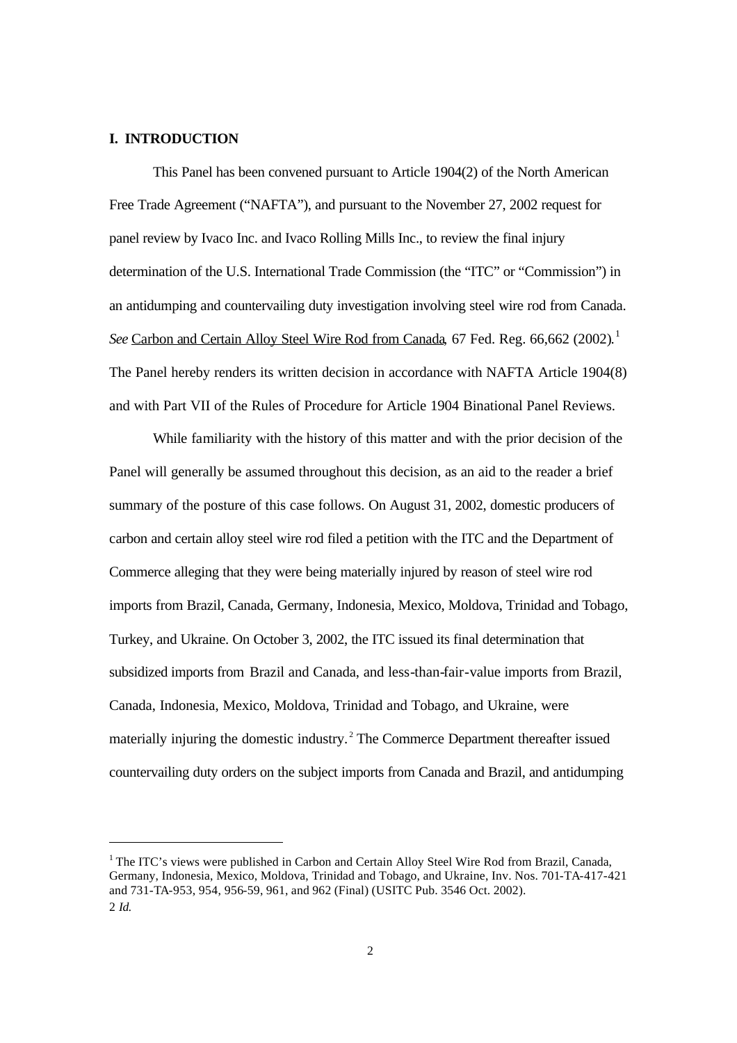#### **I. INTRODUCTION**

l

This Panel has been convened pursuant to Article 1904(2) of the North American Free Trade Agreement ("NAFTA"), and pursuant to the November 27, 2002 request for panel review by Ivaco Inc. and Ivaco Rolling Mills Inc., to review the final injury determination of the U.S. International Trade Commission (the "ITC" or "Commission") in an antidumping and countervailing duty investigation involving steel wire rod from Canada. See Carbon and Certain Alloy Steel Wire Rod from Canada, 67 Fed. Reg. 66,662 (2002).<sup>1</sup> The Panel hereby renders its written decision in accordance with NAFTA Article 1904(8) and with Part VII of the Rules of Procedure for Article 1904 Binational Panel Reviews.

While familiarity with the history of this matter and with the prior decision of the Panel will generally be assumed throughout this decision, as an aid to the reader a brief summary of the posture of this case follows. On August 31, 2002, domestic producers of carbon and certain alloy steel wire rod filed a petition with the ITC and the Department of Commerce alleging that they were being materially injured by reason of steel wire rod imports from Brazil, Canada, Germany, Indonesia, Mexico, Moldova, Trinidad and Tobago, Turkey, and Ukraine. On October 3, 2002, the ITC issued its final determination that subsidized imports from Brazil and Canada, and less-than-fair-value imports from Brazil, Canada, Indonesia, Mexico, Moldova, Trinidad and Tobago, and Ukraine, were materially injuring the domestic industry. <sup>2</sup> The Commerce Department thereafter issued countervailing duty orders on the subject imports from Canada and Brazil, and antidumping

<sup>&</sup>lt;sup>1</sup> The ITC's views were published in Carbon and Certain Alloy Steel Wire Rod from Brazil, Canada, Germany, Indonesia, Mexico, Moldova, Trinidad and Tobago, and Ukraine, Inv. Nos. 701-TA-417-421 and 731-TA-953, 954, 956-59, 961, and 962 (Final) (USITC Pub. 3546 Oct. 2002). 2 *Id.*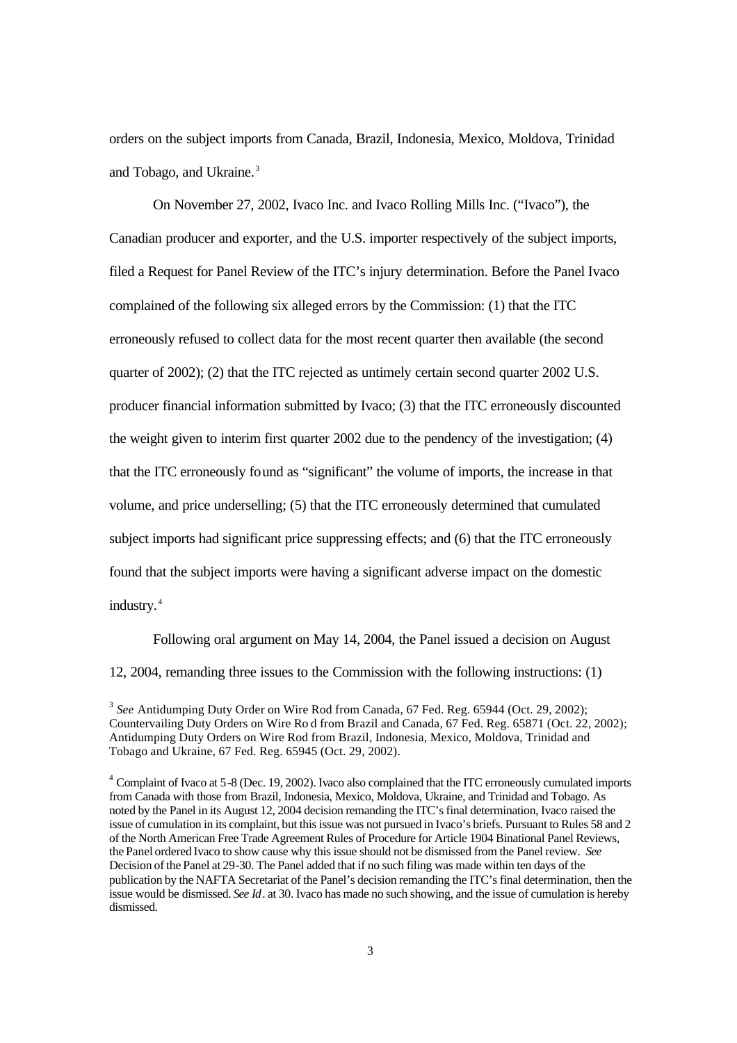orders on the subject imports from Canada, Brazil, Indonesia, Mexico, Moldova, Trinidad and Tobago, and Ukraine. <sup>3</sup>

On November 27, 2002, Ivaco Inc. and Ivaco Rolling Mills Inc. ("Ivaco"), the Canadian producer and exporter, and the U.S. importer respectively of the subject imports, filed a Request for Panel Review of the ITC's injury determination. Before the Panel Ivaco complained of the following six alleged errors by the Commission: (1) that the ITC erroneously refused to collect data for the most recent quarter then available (the second quarter of 2002); (2) that the ITC rejected as untimely certain second quarter 2002 U.S. producer financial information submitted by Ivaco; (3) that the ITC erroneously discounted the weight given to interim first quarter 2002 due to the pendency of the investigation; (4) that the ITC erroneously found as "significant" the volume of imports, the increase in that volume, and price underselling; (5) that the ITC erroneously determined that cumulated subject imports had significant price suppressing effects; and (6) that the ITC erroneously found that the subject imports were having a significant adverse impact on the domestic industry. <sup>4</sup>

Following oral argument on May 14, 2004, the Panel issued a decision on August 12, 2004, remanding three issues to the Commission with the following instructions: (1)

<sup>3</sup> See Antidumping Duty Order on Wire Rod from Canada, 67 Fed. Reg. 65944 (Oct. 29, 2002); Countervailing Duty Orders on Wire Ro d from Brazil and Canada, 67 Fed. Reg. 65871 (Oct. 22, 2002); Antidumping Duty Orders on Wire Rod from Brazil, Indonesia, Mexico, Moldova, Trinidad and Tobago and Ukraine, 67 Fed. Reg. 65945 (Oct. 29, 2002).

<sup>4</sup> Complaint of Ivaco at 5-8 (Dec. 19, 2002). Ivaco also complained that the ITC erroneously cumulated imports from Canada with those from Brazil, Indonesia, Mexico, Moldova, Ukraine, and Trinidad and Tobago. As noted by the Panel in its August 12, 2004 decision remanding the ITC's final determination, Ivaco raised the issue of cumulation in its complaint, but this issue was not pursued in Ivaco's briefs. Pursuant to Rules 58 and 2 of the North American Free Trade Agreement Rules of Procedure for Article 1904 Binational Panel Reviews, the Panel ordered Ivaco to show cause why this issue should not be dismissed from the Panel review. *See* Decision of the Panel at 29-30. The Panel added that if no such filing was made within ten days of the publication by the NAFTA Secretariat of the Panel's decision remanding the ITC's final determination, then the issue would be dismissed. *See Id*. at 30. Ivaco has made no such showing, and the issue of cumulation is hereby dismissed.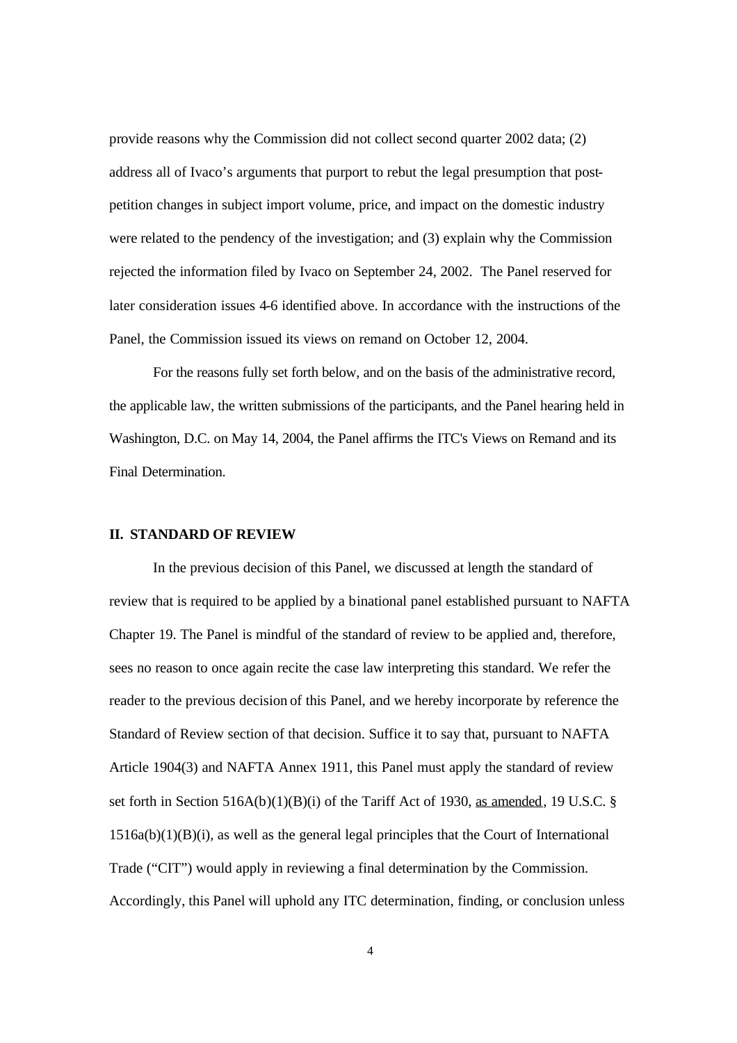provide reasons why the Commission did not collect second quarter 2002 data; (2) address all of Ivaco's arguments that purport to rebut the legal presumption that postpetition changes in subject import volume, price, and impact on the domestic industry were related to the pendency of the investigation; and (3) explain why the Commission rejected the information filed by Ivaco on September 24, 2002. The Panel reserved for later consideration issues 4-6 identified above. In accordance with the instructions of the Panel, the Commission issued its views on remand on October 12, 2004.

For the reasons fully set forth below, and on the basis of the administrative record, the applicable law, the written submissions of the participants, and the Panel hearing held in Washington, D.C. on May 14, 2004, the Panel affirms the ITC's Views on Remand and its Final Determination.

#### **II. STANDARD OF REVIEW**

In the previous decision of this Panel, we discussed at length the standard of review that is required to be applied by a binational panel established pursuant to NAFTA Chapter 19. The Panel is mindful of the standard of review to be applied and, therefore, sees no reason to once again recite the case law interpreting this standard. We refer the reader to the previous decision of this Panel, and we hereby incorporate by reference the Standard of Review section of that decision. Suffice it to say that, pursuant to NAFTA Article 1904(3) and NAFTA Annex 1911, this Panel must apply the standard of review set forth in Section 516A(b)(1)(B)(i) of the Tariff Act of 1930, as amended, 19 U.S.C. §  $1516a(b)(1)(B)(i)$ , as well as the general legal principles that the Court of International Trade ("CIT") would apply in reviewing a final determination by the Commission. Accordingly, this Panel will uphold any ITC determination, finding, or conclusion unless

4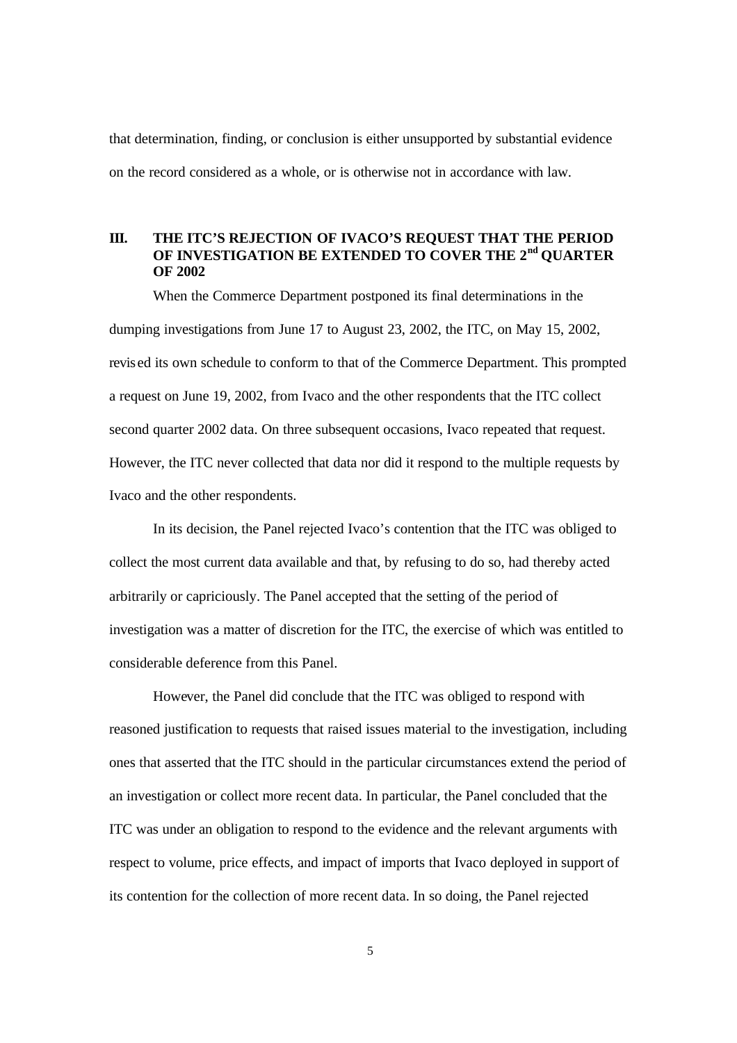that determination, finding, or conclusion is either unsupported by substantial evidence on the record considered as a whole, or is otherwise not in accordance with law.

# **III. THE ITC'S REJECTION OF IVACO'S REQUEST THAT THE PERIOD OF INVESTIGATION BE EXTENDED TO COVER THE 2nd QUARTER OF 2002**

When the Commerce Department postponed its final determinations in the dumping investigations from June 17 to August 23, 2002, the ITC, on May 15, 2002, revis ed its own schedule to conform to that of the Commerce Department. This prompted a request on June 19, 2002, from Ivaco and the other respondents that the ITC collect second quarter 2002 data. On three subsequent occasions, Ivaco repeated that request. However, the ITC never collected that data nor did it respond to the multiple requests by Ivaco and the other respondents.

In its decision, the Panel rejected Ivaco's contention that the ITC was obliged to collect the most current data available and that, by refusing to do so, had thereby acted arbitrarily or capriciously. The Panel accepted that the setting of the period of investigation was a matter of discretion for the ITC, the exercise of which was entitled to considerable deference from this Panel.

However, the Panel did conclude that the ITC was obliged to respond with reasoned justification to requests that raised issues material to the investigation, including ones that asserted that the ITC should in the particular circumstances extend the period of an investigation or collect more recent data. In particular, the Panel concluded that the ITC was under an obligation to respond to the evidence and the relevant arguments with respect to volume, price effects, and impact of imports that Ivaco deployed in support of its contention for the collection of more recent data. In so doing, the Panel rejected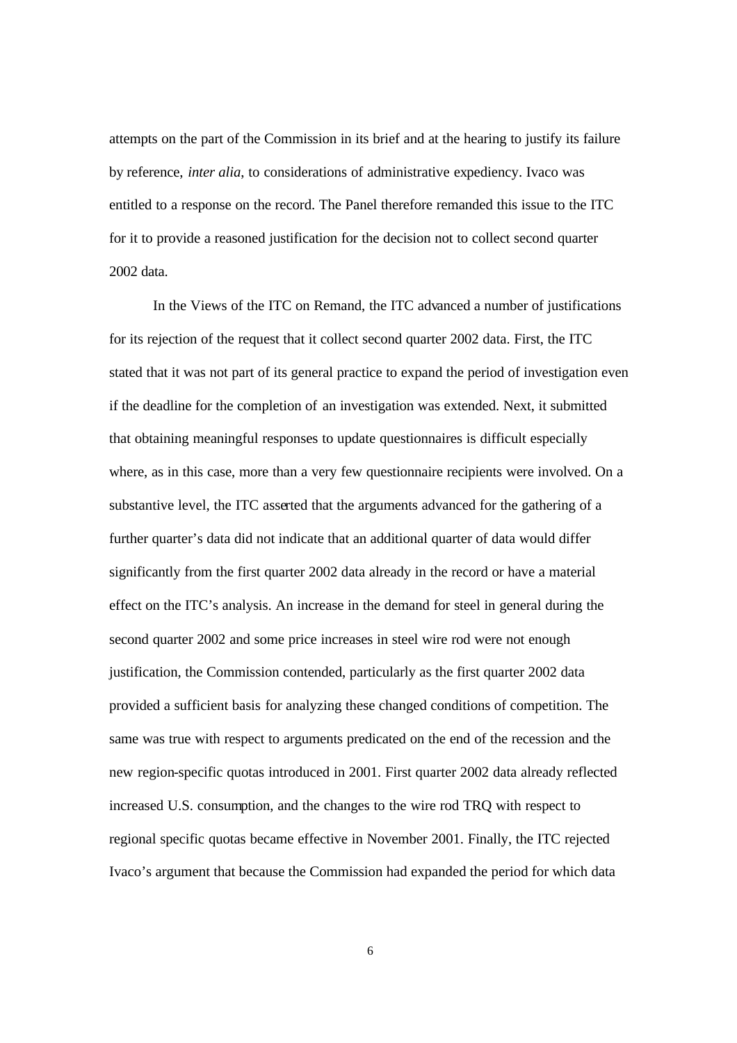attempts on the part of the Commission in its brief and at the hearing to justify its failure by reference, *inter alia*, to considerations of administrative expediency. Ivaco was entitled to a response on the record. The Panel therefore remanded this issue to the ITC for it to provide a reasoned justification for the decision not to collect second quarter 2002 data.

In the Views of the ITC on Remand, the ITC advanced a number of justifications for its rejection of the request that it collect second quarter 2002 data. First, the ITC stated that it was not part of its general practice to expand the period of investigation even if the deadline for the completion of an investigation was extended. Next, it submitted that obtaining meaningful responses to update questionnaires is difficult especially where, as in this case, more than a very few questionnaire recipients were involved. On a substantive level, the ITC asserted that the arguments advanced for the gathering of a further quarter's data did not indicate that an additional quarter of data would differ significantly from the first quarter 2002 data already in the record or have a material effect on the ITC's analysis. An increase in the demand for steel in general during the second quarter 2002 and some price increases in steel wire rod were not enough justification, the Commission contended, particularly as the first quarter 2002 data provided a sufficient basis for analyzing these changed conditions of competition. The same was true with respect to arguments predicated on the end of the recession and the new region-specific quotas introduced in 2001. First quarter 2002 data already reflected increased U.S. consumption, and the changes to the wire rod TRQ with respect to regional specific quotas became effective in November 2001. Finally, the ITC rejected Ivaco's argument that because the Commission had expanded the period for which data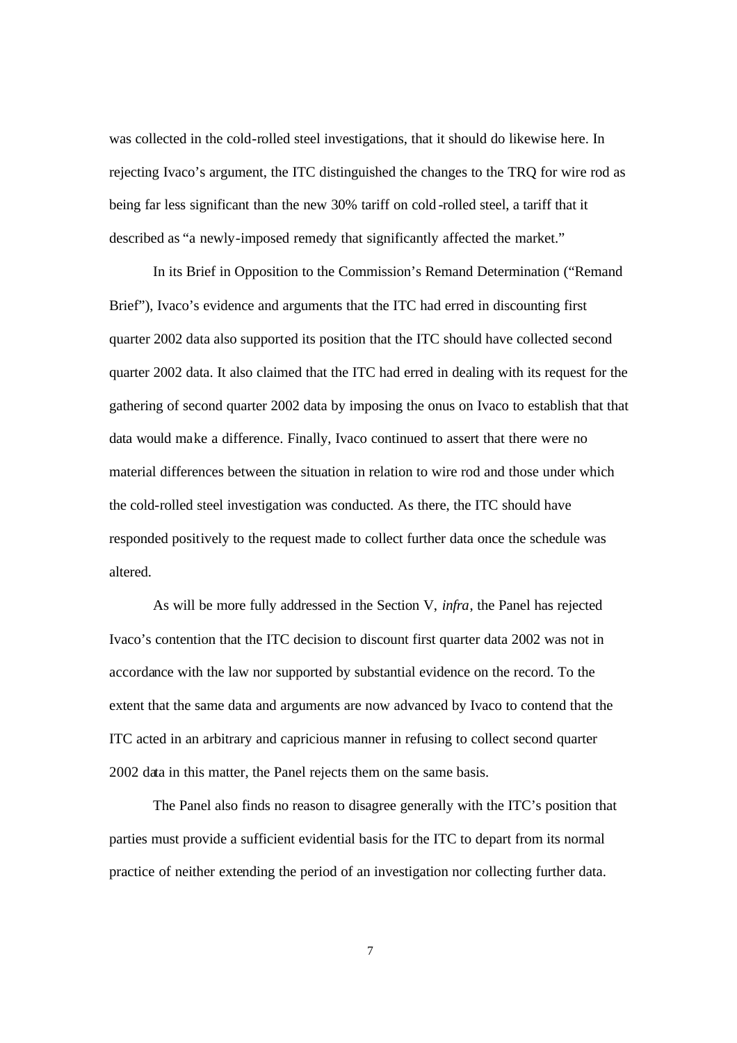was collected in the cold-rolled steel investigations, that it should do likewise here. In rejecting Ivaco's argument, the ITC distinguished the changes to the TRQ for wire rod as being far less significant than the new 30% tariff on cold -rolled steel, a tariff that it described as "a newly-imposed remedy that significantly affected the market."

In its Brief in Opposition to the Commission's Remand Determination ("Remand Brief"), Ivaco's evidence and arguments that the ITC had erred in discounting first quarter 2002 data also supported its position that the ITC should have collected second quarter 2002 data. It also claimed that the ITC had erred in dealing with its request for the gathering of second quarter 2002 data by imposing the onus on Ivaco to establish that that data would make a difference. Finally, Ivaco continued to assert that there were no material differences between the situation in relation to wire rod and those under which the cold-rolled steel investigation was conducted. As there, the ITC should have responded positively to the request made to collect further data once the schedule was altered.

As will be more fully addressed in the Section V, *infra*, the Panel has rejected Ivaco's contention that the ITC decision to discount first quarter data 2002 was not in accordance with the law nor supported by substantial evidence on the record. To the extent that the same data and arguments are now advanced by Ivaco to contend that the ITC acted in an arbitrary and capricious manner in refusing to collect second quarter 2002 data in this matter, the Panel rejects them on the same basis.

The Panel also finds no reason to disagree generally with the ITC's position that parties must provide a sufficient evidential basis for the ITC to depart from its normal practice of neither extending the period of an investigation nor collecting further data.

7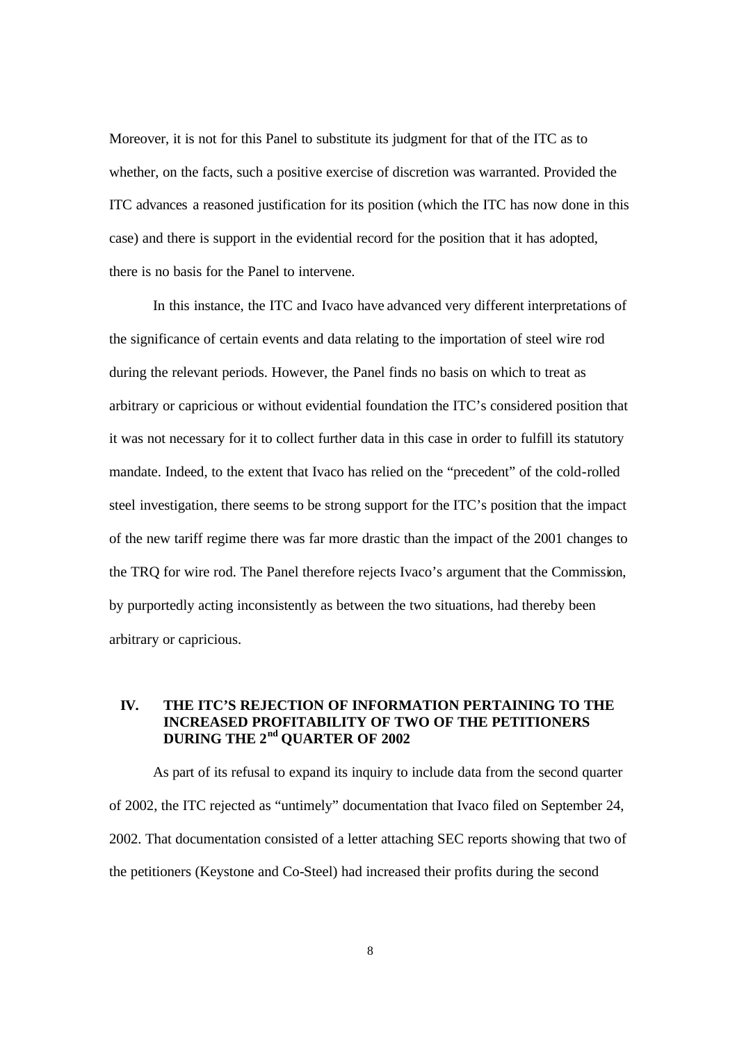Moreover, it is not for this Panel to substitute its judgment for that of the ITC as to whether, on the facts, such a positive exercise of discretion was warranted. Provided the ITC advances a reasoned justification for its position (which the ITC has now done in this case) and there is support in the evidential record for the position that it has adopted, there is no basis for the Panel to intervene.

In this instance, the ITC and Ivaco have advanced very different interpretations of the significance of certain events and data relating to the importation of steel wire rod during the relevant periods. However, the Panel finds no basis on which to treat as arbitrary or capricious or without evidential foundation the ITC's considered position that it was not necessary for it to collect further data in this case in order to fulfill its statutory mandate. Indeed, to the extent that Ivaco has relied on the "precedent" of the cold-rolled steel investigation, there seems to be strong support for the ITC's position that the impact of the new tariff regime there was far more drastic than the impact of the 2001 changes to the TRQ for wire rod. The Panel therefore rejects Ivaco's argument that the Commission, by purportedly acting inconsistently as between the two situations, had thereby been arbitrary or capricious.

# **IV. THE ITC'S REJECTION OF INFORMATION PERTAINING TO THE INCREASED PROFITABILITY OF TWO OF THE PETITIONERS DURING THE 2nd QUARTER OF 2002**

As part of its refusal to expand its inquiry to include data from the second quarter of 2002, the ITC rejected as "untimely" documentation that Ivaco filed on September 24, 2002. That documentation consisted of a letter attaching SEC reports showing that two of the petitioners (Keystone and Co-Steel) had increased their profits during the second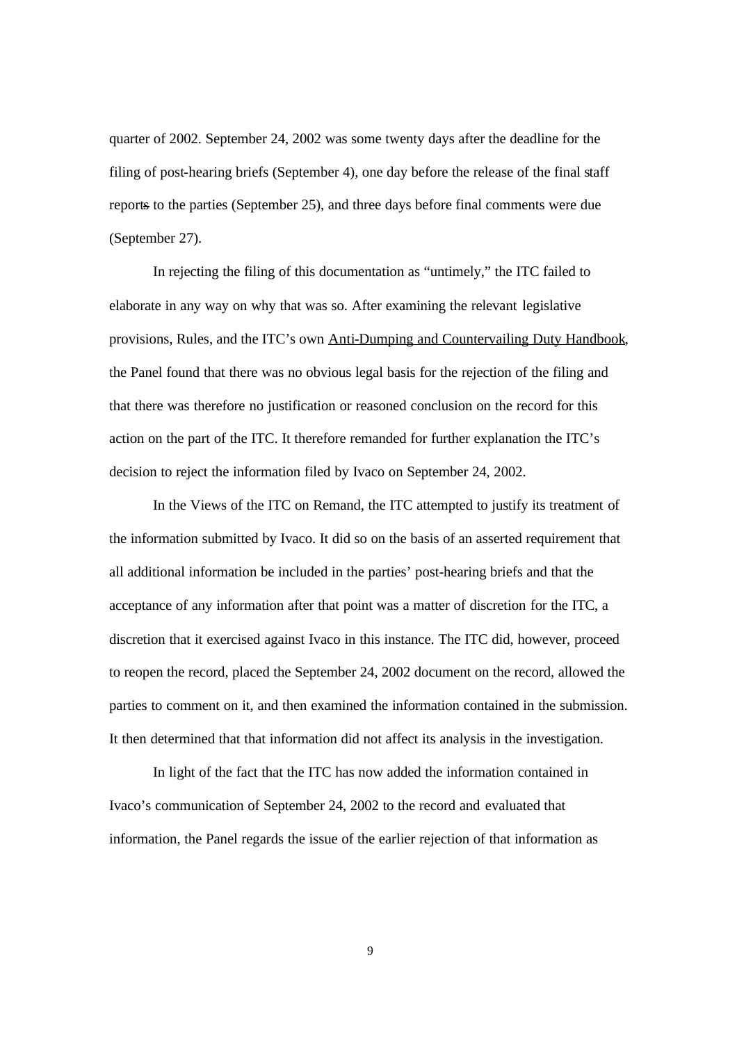quarter of 2002. September 24, 2002 was some twenty days after the deadline for the filing of post-hearing briefs (September 4), one day before the release of the final staff reports to the parties (September 25), and three days before final comments were due (September 27).

In rejecting the filing of this documentation as "untimely," the ITC failed to elaborate in any way on why that was so. After examining the relevant legislative provisions, Rules, and the ITC's own Anti-Dumping and Countervailing Duty Handbook, the Panel found that there was no obvious legal basis for the rejection of the filing and that there was therefore no justification or reasoned conclusion on the record for this action on the part of the ITC. It therefore remanded for further explanation the ITC's decision to reject the information filed by Ivaco on September 24, 2002.

In the Views of the ITC on Remand, the ITC attempted to justify its treatment of the information submitted by Ivaco. It did so on the basis of an asserted requirement that all additional information be included in the parties' post-hearing briefs and that the acceptance of any information after that point was a matter of discretion for the ITC, a discretion that it exercised against Ivaco in this instance. The ITC did, however, proceed to reopen the record, placed the September 24, 2002 document on the record, allowed the parties to comment on it, and then examined the information contained in the submission. It then determined that that information did not affect its analysis in the investigation.

In light of the fact that the ITC has now added the information contained in Ivaco's communication of September 24, 2002 to the record and evaluated that information, the Panel regards the issue of the earlier rejection of that information as

9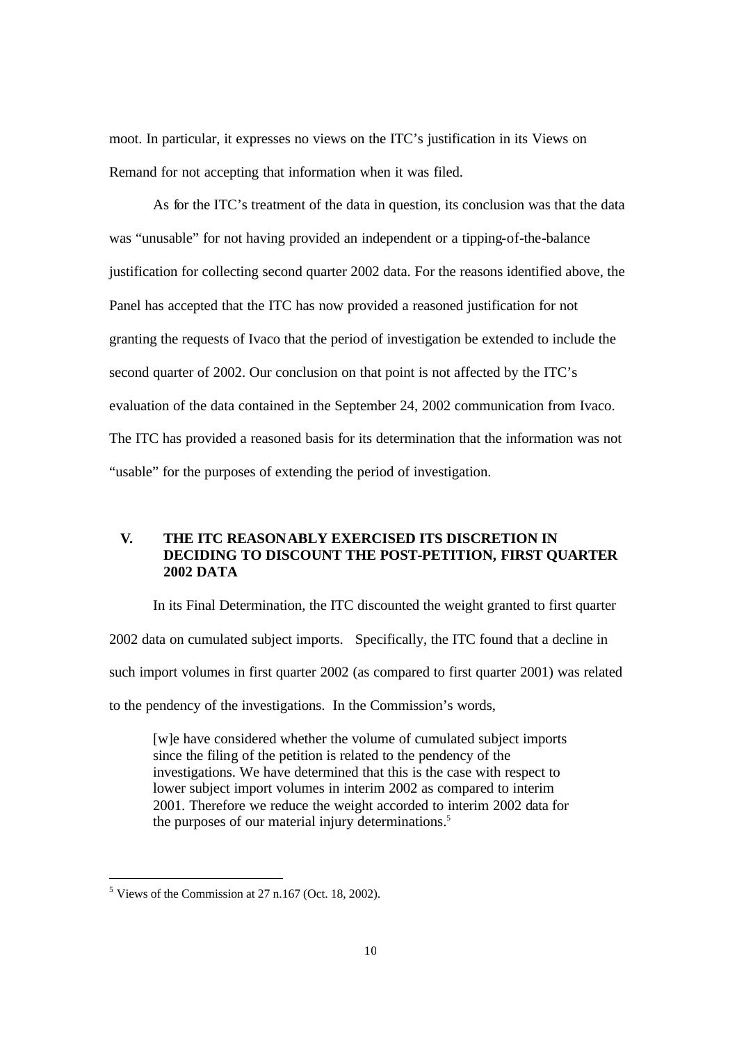moot. In particular, it expresses no views on the ITC's justification in its Views on Remand for not accepting that information when it was filed.

As for the ITC's treatment of the data in question, its conclusion was that the data was "unusable" for not having provided an independent or a tipping-of-the-balance justification for collecting second quarter 2002 data. For the reasons identified above, the Panel has accepted that the ITC has now provided a reasoned justification for not granting the requests of Ivaco that the period of investigation be extended to include the second quarter of 2002. Our conclusion on that point is not affected by the ITC's evaluation of the data contained in the September 24, 2002 communication from Ivaco. The ITC has provided a reasoned basis for its determination that the information was not "usable" for the purposes of extending the period of investigation.

# **V. THE ITC REASONABLY EXERCISED ITS DISCRETION IN DECIDING TO DISCOUNT THE POST-PETITION, FIRST QUARTER 2002 DATA**

In its Final Determination, the ITC discounted the weight granted to first quarter 2002 data on cumulated subject imports. Specifically, the ITC found that a decline in such import volumes in first quarter 2002 (as compared to first quarter 2001) was related to the pendency of the investigations. In the Commission's words,

[w]e have considered whether the volume of cumulated subject imports since the filing of the petition is related to the pendency of the investigations. We have determined that this is the case with respect to lower subject import volumes in interim 2002 as compared to interim 2001. Therefore we reduce the weight accorded to interim 2002 data for the purposes of our material injury determinations.<sup>5</sup>

 $<sup>5</sup>$  Views of the Commission at 27 n.167 (Oct. 18, 2002).</sup>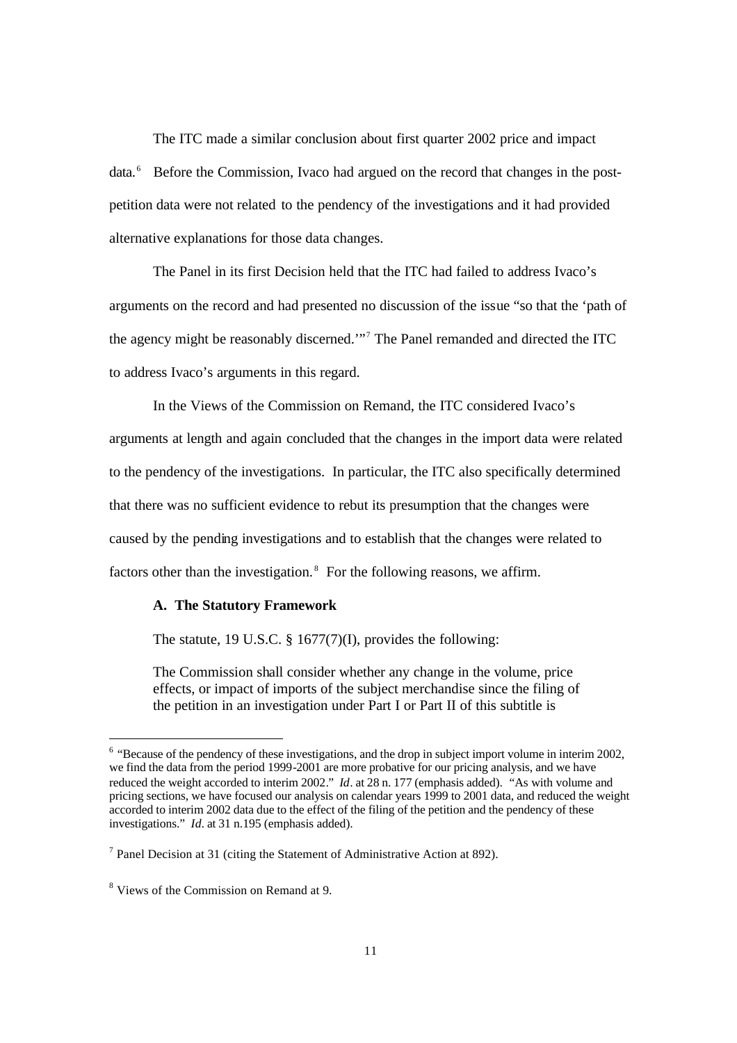The ITC made a similar conclusion about first quarter 2002 price and impact data.<sup>6</sup> Before the Commission, Ivaco had argued on the record that changes in the postpetition data were not related to the pendency of the investigations and it had provided alternative explanations for those data changes.

The Panel in its first Decision held that the ITC had failed to address Ivaco's arguments on the record and had presented no discussion of the issue "so that the 'path of the agency might be reasonably discerned.'"<sup>7</sup> The Panel remanded and directed the ITC to address Ivaco's arguments in this regard.

In the Views of the Commission on Remand, the ITC considered Ivaco's arguments at length and again concluded that the changes in the import data were related to the pendency of the investigations. In particular, the ITC also specifically determined that there was no sufficient evidence to rebut its presumption that the changes were caused by the pending investigations and to establish that the changes were related to factors other than the investigation. $8$  For the following reasons, we affirm.

#### **A. The Statutory Framework**

The statute, 19 U.S.C.  $\S$  1677(7)(I), provides the following:

The Commission shall consider whether any change in the volume, price effects, or impact of imports of the subject merchandise since the filing of the petition in an investigation under Part I or Part II of this subtitle is

l

 $6$  "Because of the pendency of these investigations, and the drop in subject import volume in interim 2002, we find the data from the period 1999-2001 are more probative for our pricing analysis, and we have reduced the weight accorded to interim 2002*.*" *Id*. at 28 n. 177 (emphasis added). "As with volume and pricing sections, we have focused our analysis on calendar years 1999 to 2001 data, and reduced the weight accorded to interim 2002 data due to the effect of the filing of the petition and the pendency of these investigations." *Id.* at 31 n.195 (emphasis added).

<sup>&</sup>lt;sup>7</sup> Panel Decision at 31 (citing the Statement of Administrative Action at 892).

<sup>&</sup>lt;sup>8</sup> Views of the Commission on Remand at 9.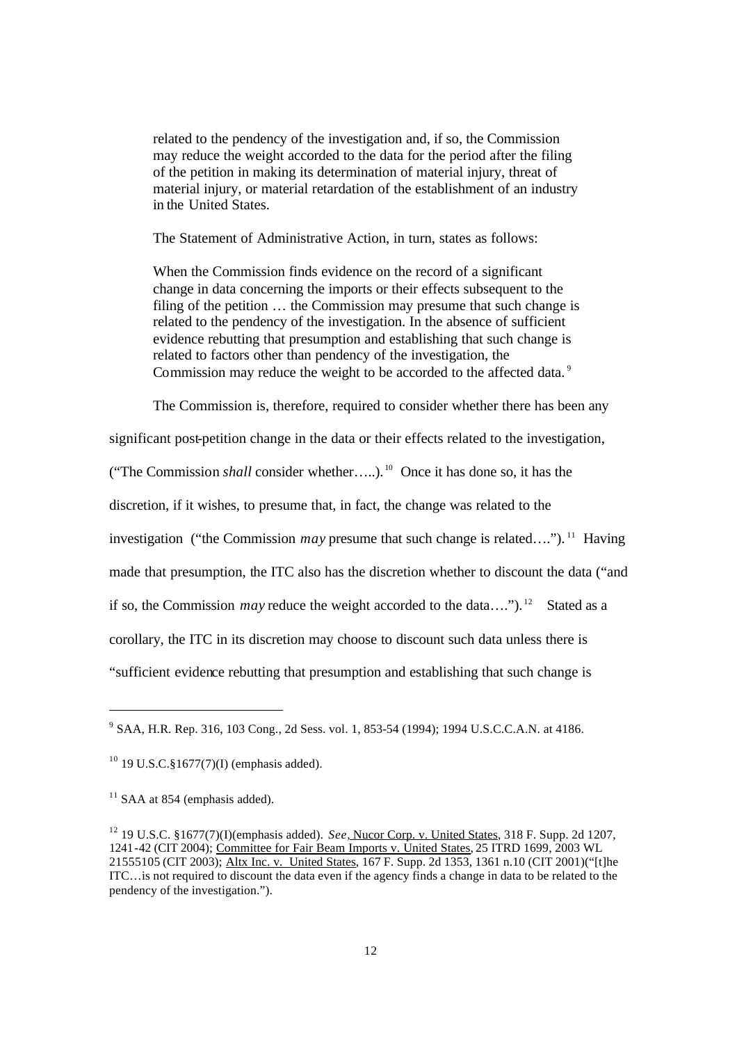related to the pendency of the investigation and, if so, the Commission may reduce the weight accorded to the data for the period after the filing of the petition in making its determination of material injury, threat of material injury, or material retardation of the establishment of an industry in the United States.

The Statement of Administrative Action, in turn, states as follows:

When the Commission finds evidence on the record of a significant change in data concerning the imports or their effects subsequent to the filing of the petition … the Commission may presume that such change is related to the pendency of the investigation. In the absence of sufficient evidence rebutting that presumption and establishing that such change is related to factors other than pendency of the investigation, the Commission may reduce the weight to be accorded to the affected data.<sup>9</sup>

The Commission is, therefore, required to consider whether there has been any

significant post-petition change in the data or their effects related to the investigation,

("The Commission *shall* consider whether…..). <sup>10</sup> Once it has done so, it has the

discretion, if it wishes, to presume that, in fact, the change was related to the

investigation ("the Commission *may* presume that such change is related…."). <sup>11</sup> Having

made that presumption, the ITC also has the discretion whether to discount the data ("and

if so, the Commission *may* reduce the weight accorded to the data....").<sup>12</sup> Stated as a

corollary, the ITC in its discretion may choose to discount such data unless there is

"sufficient evidence rebutting that presumption and establishing that such change is

<sup>&</sup>lt;sup>9</sup> SAA, H.R. Rep. 316, 103 Cong., 2d Sess. vol. 1, 853-54 (1994); 1994 U.S.C.C.A.N. at 4186.

 $10^{10}$  19 U.S.C.§1677(7)(I) (emphasis added).

 $11$  SAA at 854 (emphasis added).

<sup>12</sup> 19 U.S.C. §1677(7)(I)(emphasis added). *See,* Nucor Corp. v. United States, 318 F. Supp. 2d 1207, 1241-42 (CIT 2004); Committee for Fair Beam Imports v. United States, 25 ITRD 1699, 2003 WL 21555105 (CIT 2003); Altx Inc. v. United States, 167 F. Supp. 2d 1353, 1361 n.10 (CIT 2001)("[t]he ITC…is not required to discount the data even if the agency finds a change in data to be related to the pendency of the investigation.").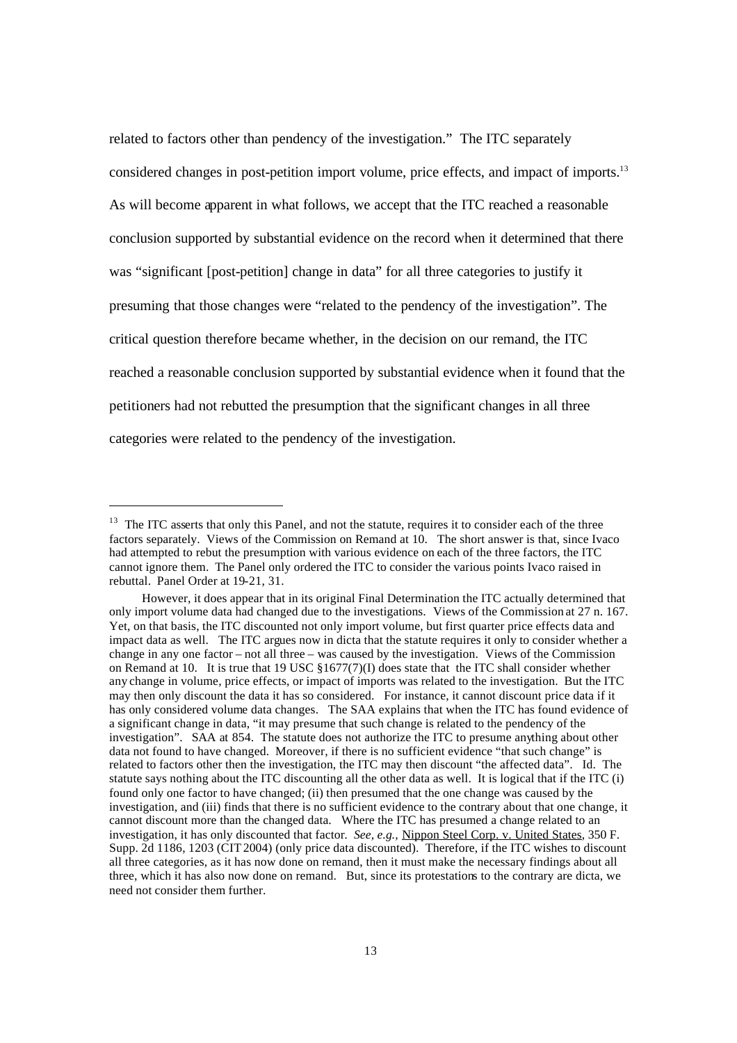related to factors other than pendency of the investigation." The ITC separately considered changes in post-petition import volume, price effects, and impact of imports.<sup>13</sup> As will become apparent in what follows, we accept that the ITC reached a reasonable conclusion supported by substantial evidence on the record when it determined that there was "significant [post-petition] change in data" for all three categories to justify it presuming that those changes were "related to the pendency of the investigation". The critical question therefore became whether, in the decision on our remand, the ITC reached a reasonable conclusion supported by substantial evidence when it found that the petitioners had not rebutted the presumption that the significant changes in all three categories were related to the pendency of the investigation.

l

<sup>&</sup>lt;sup>13</sup> The ITC asserts that only this Panel, and not the statute, requires it to consider each of the three factors separately. Views of the Commission on Remand at 10. The short answer is that, since Ivaco had attempted to rebut the presumption with various evidence on each of the three factors, the ITC cannot ignore them. The Panel only ordered the ITC to consider the various points Ivaco raised in rebuttal. Panel Order at 19-21, 31.

However, it does appear that in its original Final Determination the ITC actually determined that only import volume data had changed due to the investigations. Views of the Commission at 27 n. 167. Yet, on that basis, the ITC discounted not only import volume, but first quarter price effects data and impact data as well. The ITC argues now in dicta that the statute requires it only to consider whether a change in any one factor – not all three – was caused by the investigation. Views of the Commission on Remand at 10. It is true that 19 USC §1677(7)(I) does state that the ITC shall consider whether any change in volume, price effects, or impact of imports was related to the investigation. But the ITC may then only discount the data it has so considered. For instance, it cannot discount price data if it has only considered volume data changes. The SAA explains that when the ITC has found evidence of a significant change in data, "it may presume that such change is related to the pendency of the investigation". SAA at 854. The statute does not authorize the ITC to presume anything about other data not found to have changed. Moreover, if there is no sufficient evidence "that such change" is related to factors other then the investigation, the ITC may then discount "the affected data". Id. The statute says nothing about the ITC discounting all the other data as well. It is logical that if the ITC (i) found only one factor to have changed; (ii) then presumed that the one change was caused by the investigation, and (iii) finds that there is no sufficient evidence to the contrary about that one change, it cannot discount more than the changed data. Where the ITC has presumed a change related to an investigation, it has only discounted that factor*. See, e.g.,* Nippon Steel Corp. v. United States, 350 F. Supp. 2d 1186, 1203 (CIT 2004) (only price data discounted). Therefore, if the ITC wishes to discount all three categories, as it has now done on remand, then it must make the necessary findings about all three, which it has also now done on remand. But, since its protestations to the contrary are dicta, we need not consider them further.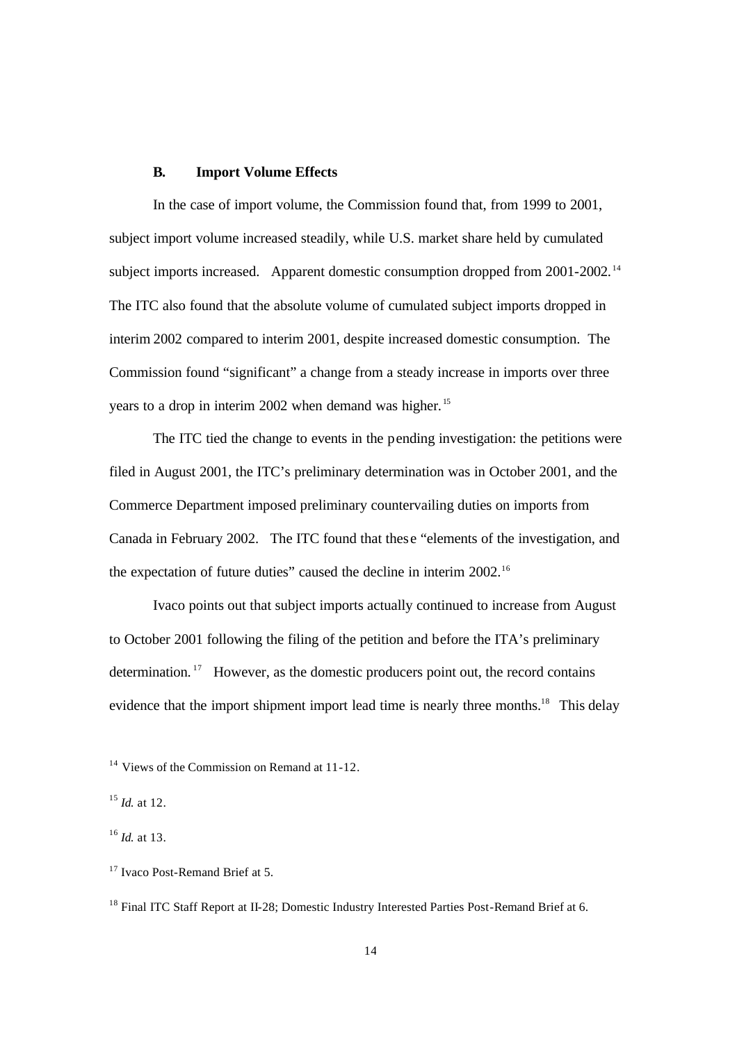## **B. Import Volume Effects**

In the case of import volume, the Commission found that, from 1999 to 2001, subject import volume increased steadily, while U.S. market share held by cumulated subject imports increased. Apparent domestic consumption dropped from 2001-2002.<sup>14</sup> The ITC also found that the absolute volume of cumulated subject imports dropped in interim 2002 compared to interim 2001, despite increased domestic consumption. The Commission found "significant" a change from a steady increase in imports over three years to a drop in interim 2002 when demand was higher. <sup>15</sup>

The ITC tied the change to events in the pending investigation: the petitions were filed in August 2001, the ITC's preliminary determination was in October 2001, and the Commerce Department imposed preliminary countervailing duties on imports from Canada in February 2002. The ITC found that these "elements of the investigation, and the expectation of future duties" caused the decline in interim 2002.<sup>16</sup>

Ivaco points out that subject imports actually continued to increase from August to October 2001 following the filing of the petition and before the ITA's preliminary determination. <sup>17</sup> However, as the domestic producers point out, the record contains evidence that the import shipment import lead time is nearly three months.<sup>18</sup> This delay

<sup>&</sup>lt;sup>14</sup> Views of the Commission on Remand at 11-12.

<sup>15</sup> *Id.* at 12.

<sup>16</sup> *Id.* at 13.

<sup>&</sup>lt;sup>17</sup> Ivaco Post-Remand Brief at 5.

<sup>&</sup>lt;sup>18</sup> Final ITC Staff Report at II-28; Domestic Industry Interested Parties Post-Remand Brief at 6.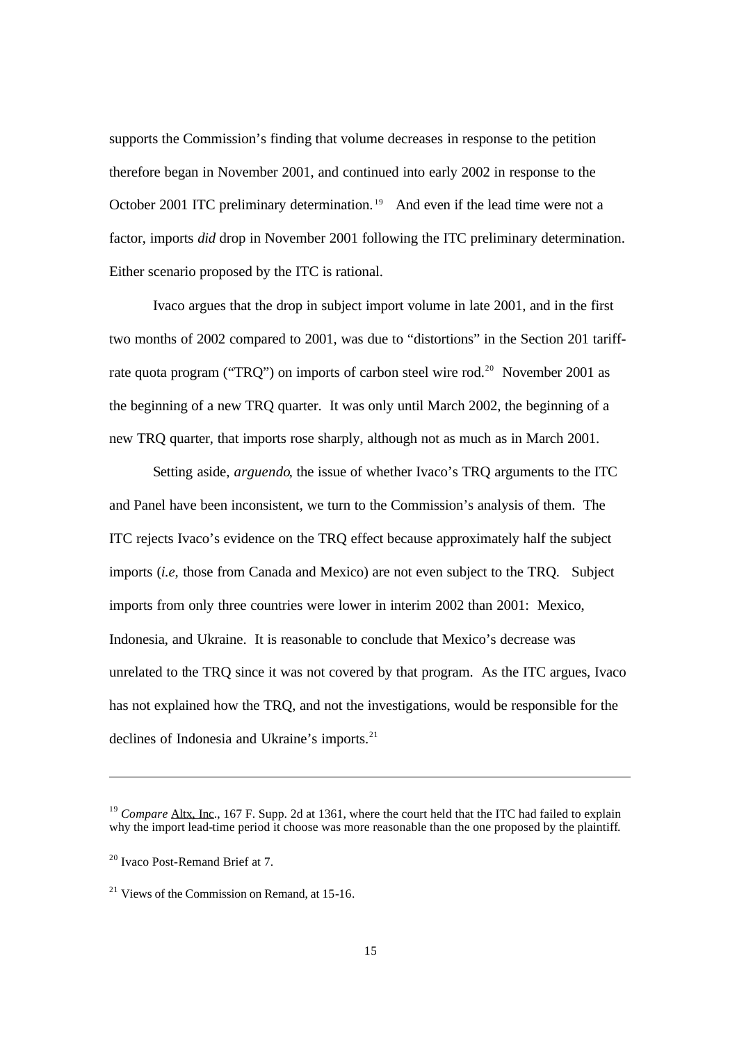supports the Commission's finding that volume decreases in response to the petition therefore began in November 2001, and continued into early 2002 in response to the October 2001 ITC preliminary determination.<sup>19</sup> And even if the lead time were not a factor, imports *did* drop in November 2001 following the ITC preliminary determination. Either scenario proposed by the ITC is rational.

Ivaco argues that the drop in subject import volume in late 2001, and in the first two months of 2002 compared to 2001, was due to "distortions" in the Section 201 tariffrate quota program ("TRO") on imports of carbon steel wire rod.<sup>20</sup> November 2001 as the beginning of a new TRQ quarter. It was only until March 2002, the beginning of a new TRQ quarter, that imports rose sharply, although not as much as in March 2001.

Setting aside, *arguendo*, the issue of whether Ivaco's TRQ arguments to the ITC and Panel have been inconsistent, we turn to the Commission's analysis of them. The ITC rejects Ivaco's evidence on the TRQ effect because approximately half the subject imports (*i.e,* those from Canada and Mexico) are not even subject to the TRQ. Subject imports from only three countries were lower in interim 2002 than 2001: Mexico, Indonesia, and Ukraine. It is reasonable to conclude that Mexico's decrease was unrelated to the TRQ since it was not covered by that program. As the ITC argues, Ivaco has not explained how the TRQ, and not the investigations, would be responsible for the declines of Indonesia and Ukraine's imports.<sup>21</sup>

<sup>&</sup>lt;sup>19</sup> *Compare* Altx, Inc., 167 F. Supp. 2d at 1361, where the court held that the ITC had failed to explain why the import lead-time period it choose was more reasonable than the one proposed by the plaintiff.

<sup>20</sup> Ivaco Post-Remand Brief at 7.

<sup>&</sup>lt;sup>21</sup> Views of the Commission on Remand, at  $15-16$ .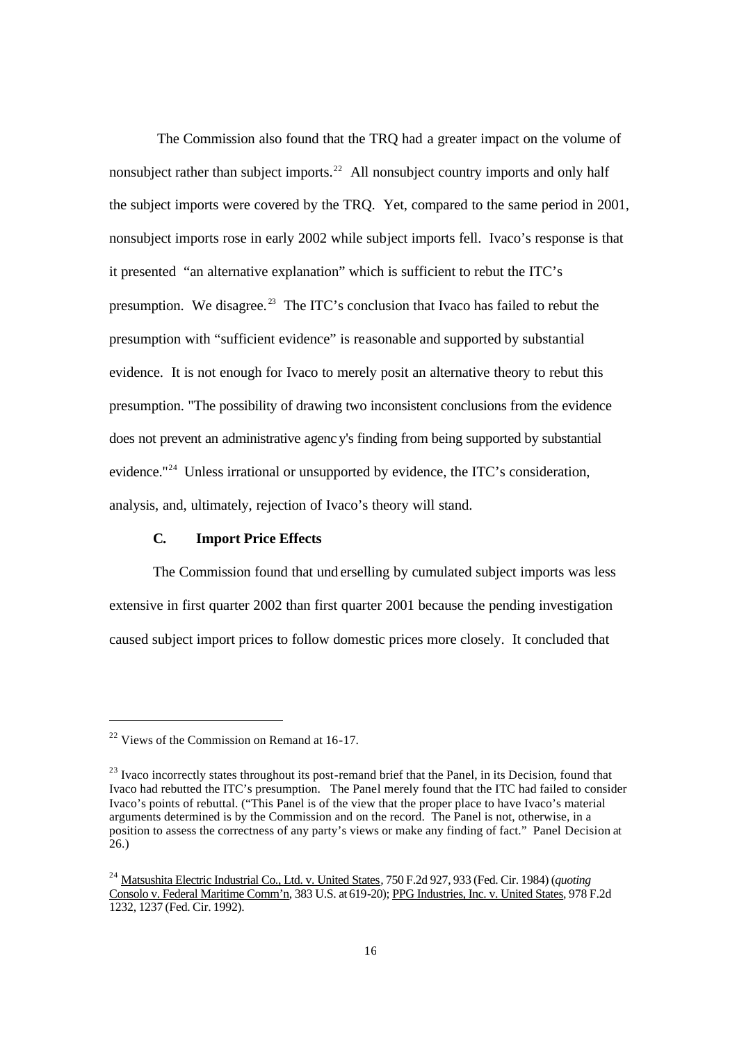The Commission also found that the TRQ had a greater impact on the volume of nonsubject rather than subject imports.<sup>22</sup> All nonsubject country imports and only half the subject imports were covered by the TRQ. Yet, compared to the same period in 2001, nonsubject imports rose in early 2002 while subject imports fell. Ivaco's response is that it presented "an alternative explanation" which is sufficient to rebut the ITC's presumption. We disagree.<sup>23</sup> The ITC's conclusion that Ivaco has failed to rebut the presumption with "sufficient evidence" is reasonable and supported by substantial evidence. It is not enough for Ivaco to merely posit an alternative theory to rebut this presumption. "The possibility of drawing two inconsistent conclusions from the evidence does not prevent an administrative agenc y's finding from being supported by substantial evidence."<sup>24</sup> Unless irrational or unsupported by evidence, the ITC's consideration, analysis, and, ultimately, rejection of Ivaco's theory will stand.

### **C. Import Price Effects**

The Commission found that und erselling by cumulated subject imports was less extensive in first quarter 2002 than first quarter 2001 because the pending investigation caused subject import prices to follow domestic prices more closely. It concluded that

 $22$  Views of the Commission on Remand at 16-17.

 $^{23}$  Ivaco incorrectly states throughout its post-remand brief that the Panel, in its Decision, found that Ivaco had rebutted the ITC's presumption. The Panel merely found that the ITC had failed to consider Ivaco's points of rebuttal. ("This Panel is of the view that the proper place to have Ivaco's material arguments determined is by the Commission and on the record. The Panel is not, otherwise, in a position to assess the correctness of any party's views or make any finding of fact." Panel Decision at 26.)

<sup>24</sup> Matsushita Electric Industrial Co., Ltd. v. United States*,* 750 F.2d 927, 933 (Fed. Cir. 1984) (*quoting*  Consolo v. Federal Maritime Comm'n*,* 383 U.S. at 619-20); PPG Industries, Inc. v. United States*,* 978 F.2d 1232, 1237 (Fed. Cir. 1992).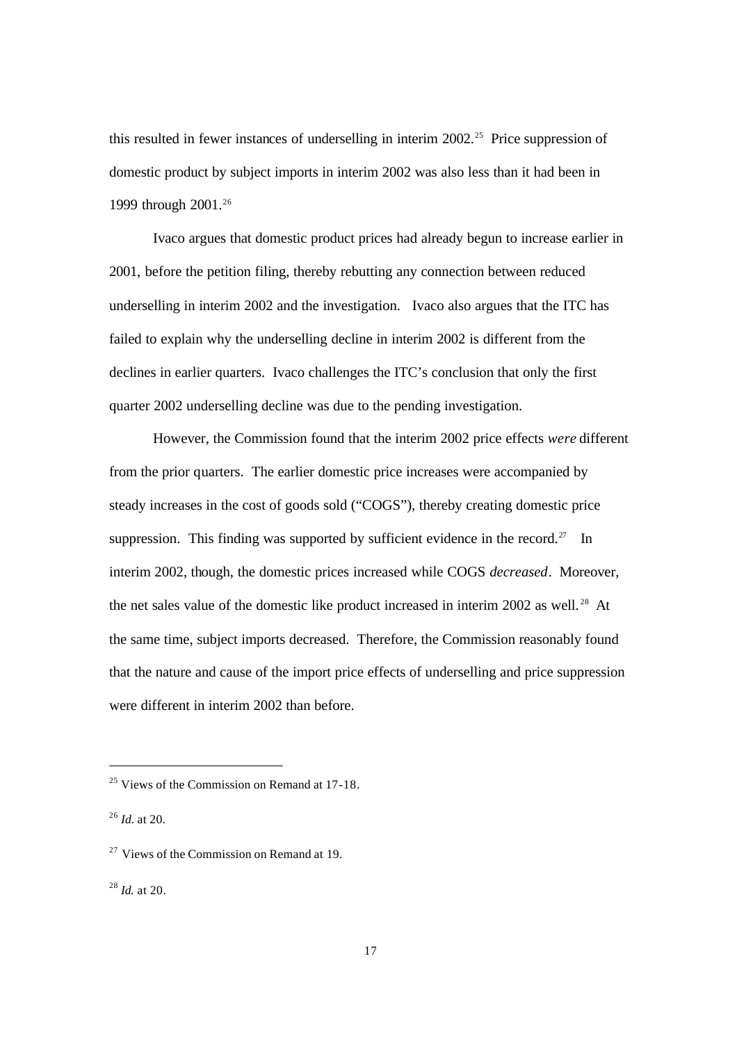this resulted in fewer instances of underselling in interim  $2002<sup>25</sup>$  Price suppression of domestic product by subject imports in interim 2002 was also less than it had been in 1999 through 2001. 26

Ivaco argues that domestic product prices had already begun to increase earlier in 2001, before the petition filing, thereby rebutting any connection between reduced underselling in interim 2002 and the investigation. Ivaco also argues that the ITC has failed to explain why the underselling decline in interim 2002 is different from the declines in earlier quarters. Ivaco challenges the ITC's conclusion that only the first quarter 2002 underselling decline was due to the pending investigation.

However, the Commission found that the interim 2002 price effects *were* different from the prior quarters. The earlier domestic price increases were accompanied by steady increases in the cost of goods sold ("COGS"), thereby creating domestic price suppression. This finding was supported by sufficient evidence in the record.<sup>27</sup> In interim 2002, though, the domestic prices increased while COGS *decreased*. Moreover, the net sales value of the domestic like product increased in interim 2002 as well.<sup>28</sup> At the same time, subject imports decreased. Therefore, the Commission reasonably found that the nature and cause of the import price effects of underselling and price suppression were different in interim 2002 than before.

 $\overline{a}$ 

<sup>28</sup> *Id.* at 20.

<sup>&</sup>lt;sup>25</sup> Views of the Commission on Remand at 17-18.

<sup>26</sup> *Id.* at 20.

 $27$  Views of the Commission on Remand at 19.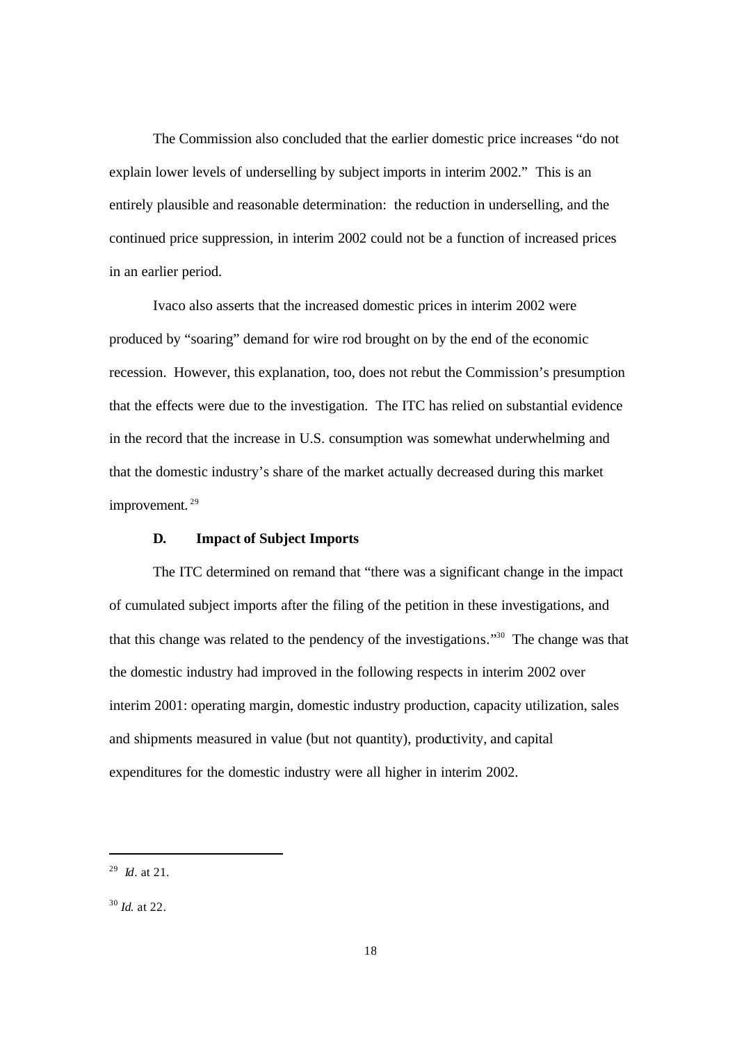The Commission also concluded that the earlier domestic price increases "do not explain lower levels of underselling by subject imports in interim 2002." This is an entirely plausible and reasonable determination: the reduction in underselling, and the continued price suppression, in interim 2002 could not be a function of increased prices in an earlier period.

Ivaco also asserts that the increased domestic prices in interim 2002 were produced by "soaring" demand for wire rod brought on by the end of the economic recession. However, this explanation, too, does not rebut the Commission's presumption that the effects were due to the investigation. The ITC has relied on substantial evidence in the record that the increase in U.S. consumption was somewhat underwhelming and that the domestic industry's share of the market actually decreased during this market improvement.<sup>29</sup>

#### **D. Impact of Subject Imports**

The ITC determined on remand that "there was a significant change in the impact of cumulated subject imports after the filing of the petition in these investigations, and that this change was related to the pendency of the investigations."<sup>30</sup> The change was that the domestic industry had improved in the following respects in interim 2002 over interim 2001: operating margin, domestic industry production, capacity utilization, sales and shipments measured in value (but not quantity), productivity, and capital expenditures for the domestic industry were all higher in interim 2002.

l

<sup>29</sup> *Id*. at 21.

<sup>30</sup> *Id.* at 22.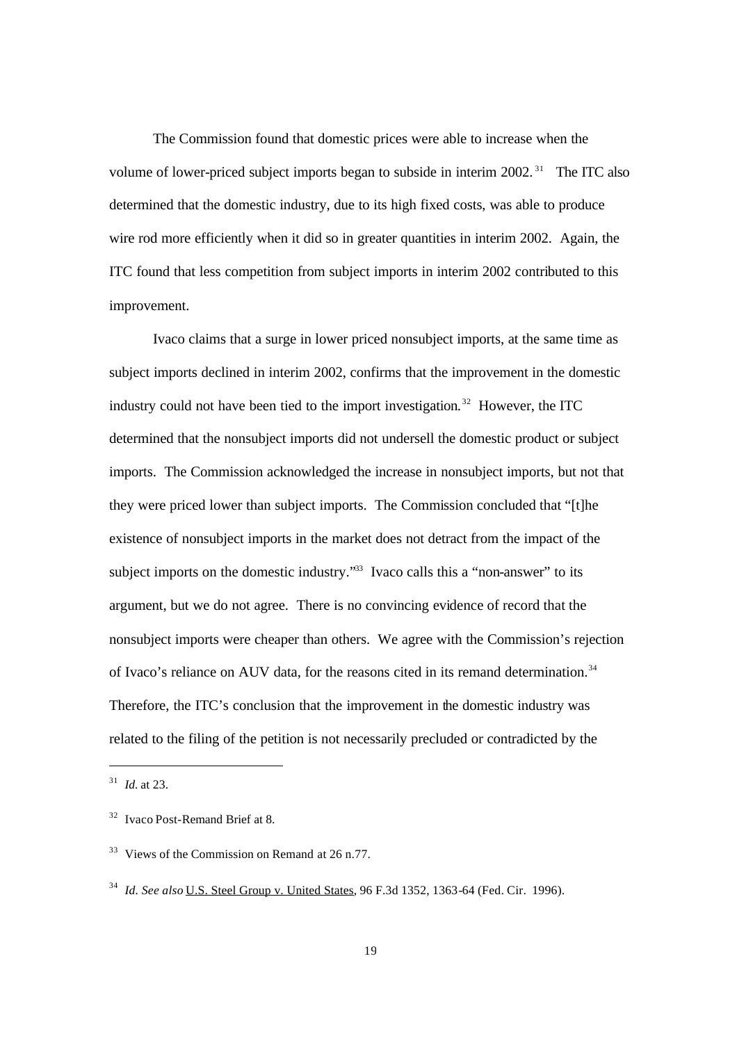The Commission found that domestic prices were able to increase when the volume of lower-priced subject imports began to subside in interim 2002.<sup>31</sup> The ITC also determined that the domestic industry, due to its high fixed costs, was able to produce wire rod more efficiently when it did so in greater quantities in interim 2002. Again, the ITC found that less competition from subject imports in interim 2002 contributed to this improvement.

Ivaco claims that a surge in lower priced nonsubject imports, at the same time as subject imports declined in interim 2002, confirms that the improvement in the domestic industry could not have been tied to the import investigation.<sup>32</sup> However, the ITC determined that the nonsubject imports did not undersell the domestic product or subject imports. The Commission acknowledged the increase in nonsubject imports, but not that they were priced lower than subject imports. The Commission concluded that "[t]he existence of nonsubject imports in the market does not detract from the impact of the subject imports on the domestic industry.<sup>333</sup> Ivaco calls this a "non-answer" to its argument, but we do not agree. There is no convincing evidence of record that the nonsubject imports were cheaper than others. We agree with the Commission's rejection of Ivaco's reliance on AUV data, for the reasons cited in its remand determination.<sup>34</sup> Therefore, the ITC's conclusion that the improvement in the domestic industry was related to the filing of the petition is not necessarily precluded or contradicted by the

<sup>31</sup> *Id.* at 23.

<sup>32</sup> Ivaco Post-Remand Brief at 8.

<sup>&</sup>lt;sup>33</sup> Views of the Commission on Remand at 26 n.77.

<sup>34</sup> *Id. See also* U.S. Steel Group v. United States, 96 F.3d 1352, 1363-64 (Fed. Cir. 1996).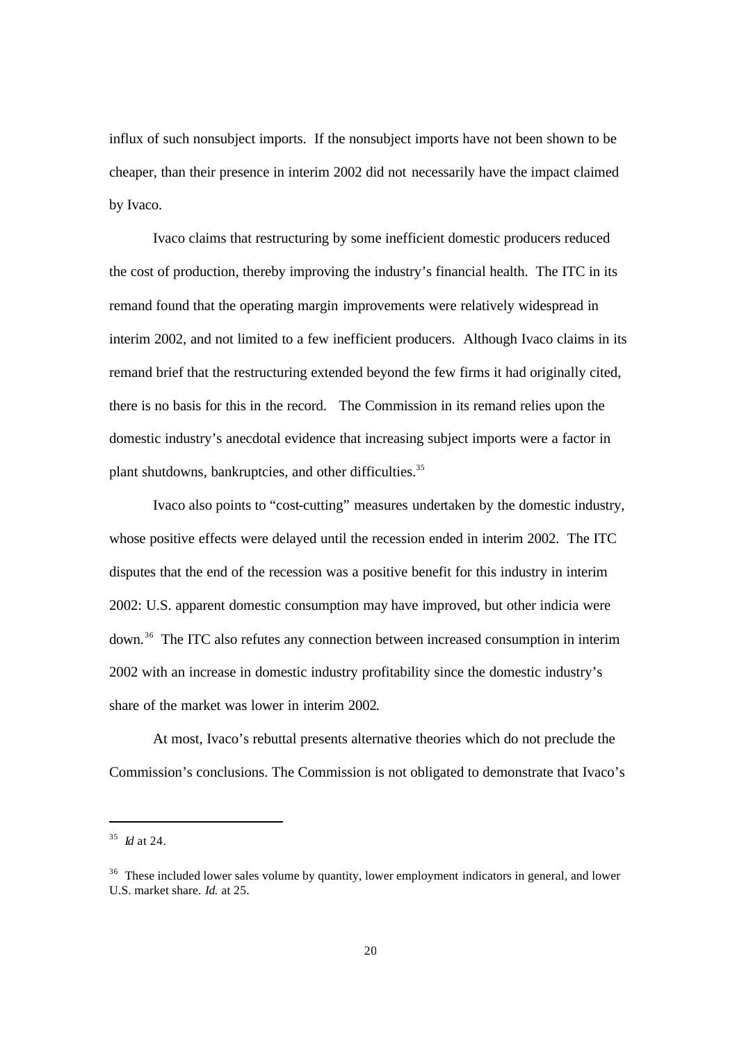influx of such nonsubject imports. If the nonsubject imports have not been shown to be cheaper, than their presence in interim 2002 did not necessarily have the impact claimed by Ivaco.

Ivaco claims that restructuring by some inefficient domestic producers reduced the cost of production, thereby improving the industry's financial health. The ITC in its remand found that the operating margin improvements were relatively widespread in interim 2002, and not limited to a few inefficient producers. Although Ivaco claims in its remand brief that the restructuring extended beyond the few firms it had originally cited, there is no basis for this in the record. The Commission in its remand relies upon the domestic industry's anecdotal evidence that increasing subject imports were a factor in plant shutdowns, bankruptcies, and other difficulties.<sup>35</sup>

Ivaco also points to "cost-cutting" measures undertaken by the domestic industry, whose positive effects were delayed until the recession ended in interim 2002. The ITC disputes that the end of the recession was a positive benefit for this industry in interim 2002: U.S. apparent domestic consumption may have improved, but other indicia were down. <sup>36</sup> The ITC also refutes any connection between increased consumption in interim 2002 with an increase in domestic industry profitability since the domestic industry's share of the market was lower in interim 2002.

At most, Ivaco's rebuttal presents alternative theories which do not preclude the Commission's conclusions. The Commission is not obligated to demonstrate that Ivaco's

<sup>35</sup> *Id* at 24.

 $36$  These included lower sales volume by quantity, lower employment indicators in general, and lower U.S. market share. *Id.* at 25.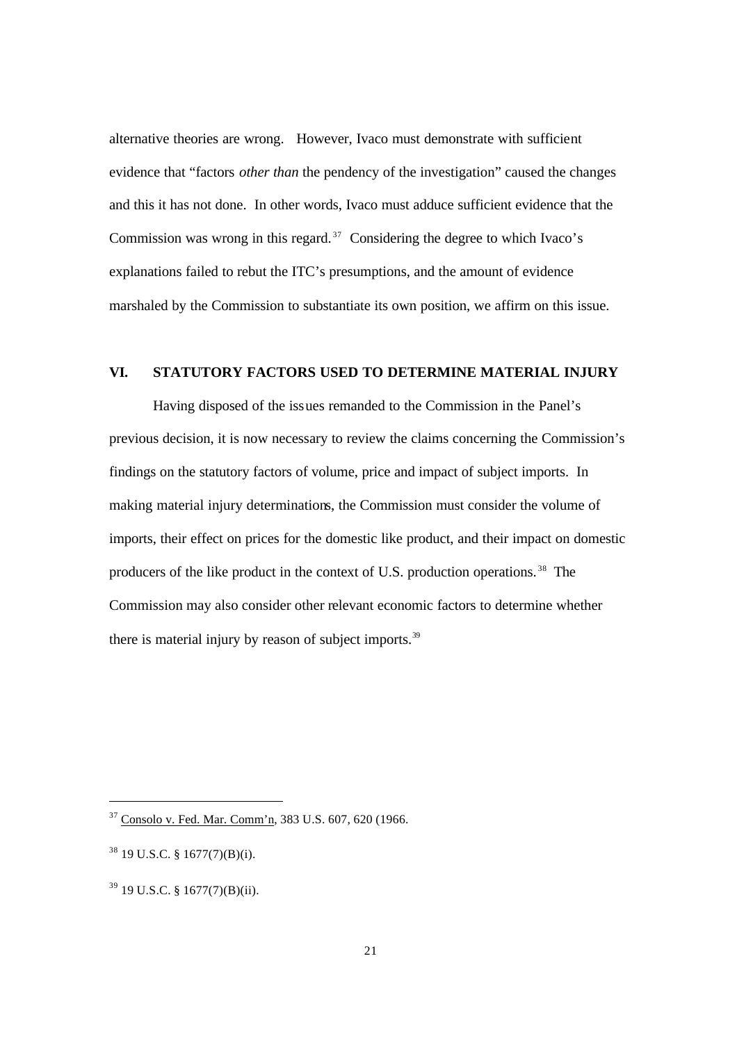alternative theories are wrong. However, Ivaco must demonstrate with sufficient evidence that "factors *other than* the pendency of the investigation" caused the changes and this it has not done. In other words, Ivaco must adduce sufficient evidence that the Commission was wrong in this regard.<sup>37</sup> Considering the degree to which Ivaco's explanations failed to rebut the ITC's presumptions, and the amount of evidence marshaled by the Commission to substantiate its own position, we affirm on this issue.

# **VI. STATUTORY FACTORS USED TO DETERMINE MATERIAL INJURY**

Having disposed of the issues remanded to the Commission in the Panel's previous decision, it is now necessary to review the claims concerning the Commission's findings on the statutory factors of volume, price and impact of subject imports. In making material injury determinations, the Commission must consider the volume of imports, their effect on prices for the domestic like product, and their impact on domestic producers of the like product in the context of U.S. production operations. <sup>38</sup> The Commission may also consider other relevant economic factors to determine whether there is material injury by reason of subject imports.<sup>39</sup>

<sup>37</sup> Consolo v. Fed. Mar. Comm'n, 383 U.S. 607, 620 (1966.

 $38$  19 U.S.C. § 1677(7)(B)(i).

<sup>39</sup> 19 U.S.C. § 1677(7)(B)(ii).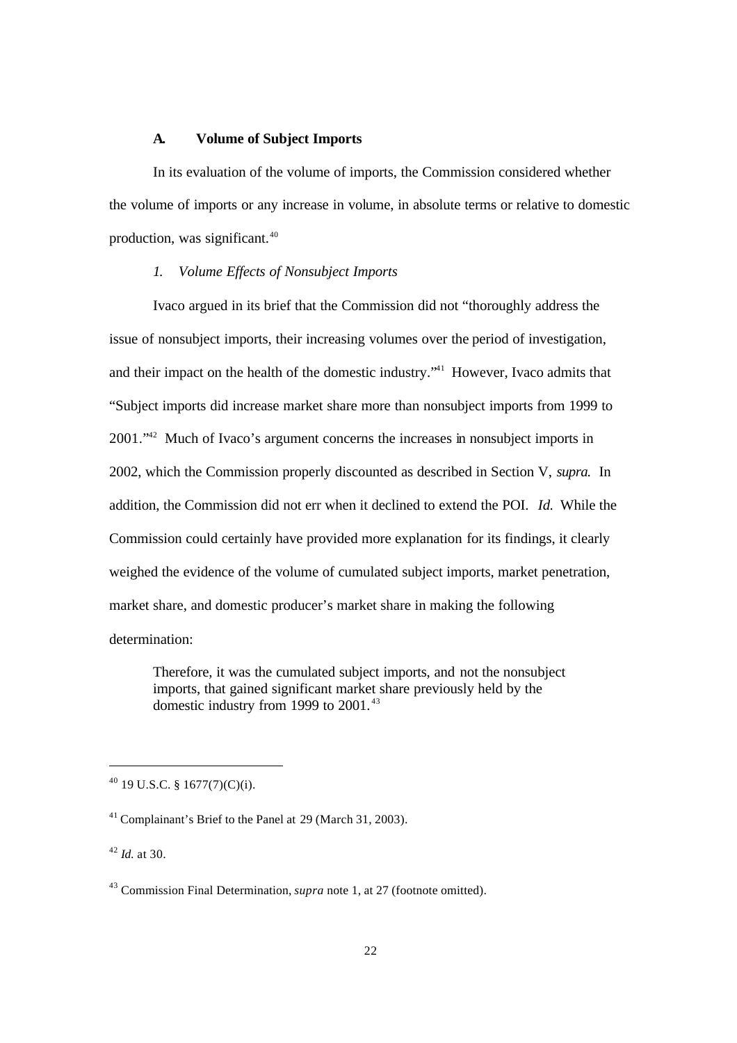#### **A. Volume of Subject Imports**

In its evaluation of the volume of imports, the Commission considered whether the volume of imports or any increase in volume, in absolute terms or relative to domestic production, was significant.<sup>40</sup>

### *1. Volume Effects of Nonsubject Imports*

Ivaco argued in its brief that the Commission did not "thoroughly address the issue of nonsubject imports, their increasing volumes over the period of investigation, and their impact on the health of the domestic industry.<sup>"41</sup> However, Ivaco admits that "Subject imports did increase market share more than nonsubject imports from 1999 to 2001."42 Much of Ivaco's argument concerns the increases in nonsubject imports in 2002, which the Commission properly discounted as described in Section V, *supra.* In addition, the Commission did not err when it declined to extend the POI. *Id.* While the Commission could certainly have provided more explanation for its findings, it clearly weighed the evidence of the volume of cumulated subject imports, market penetration, market share, and domestic producer's market share in making the following determination:

Therefore, it was the cumulated subject imports, and not the nonsubject imports, that gained significant market share previously held by the domestic industry from 1999 to 2001.<sup>43</sup>

 $^{40}$  19 U.S.C. § 1677(7)(C)(i).

<sup>41</sup> Complainant's Brief to the Panel at 29 (March 31, 2003).

<sup>42</sup> *Id*. at 30.

<sup>43</sup> Commission Final Determination, *supra* note 1, at 27 (footnote omitted).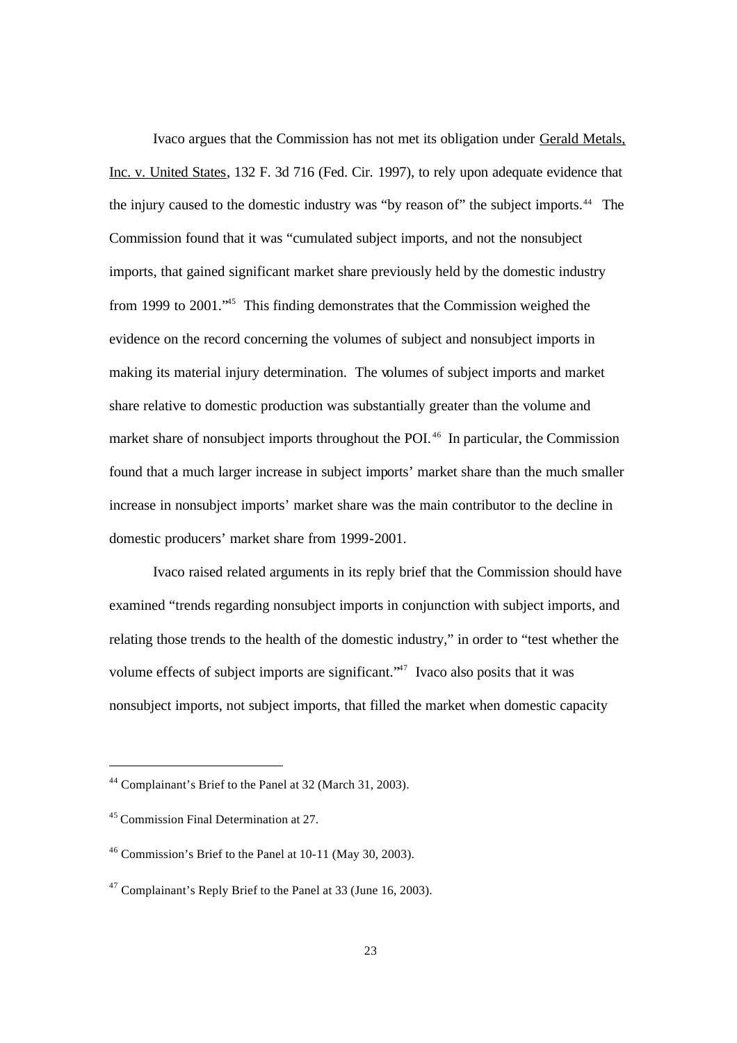Ivaco argues that the Commission has not met its obligation under Gerald Metals, Inc. v. United States, 132 F. 3d 716 (Fed. Cir. 1997), to rely upon adequate evidence that the injury caused to the domestic industry was "by reason of" the subject imports.<sup>44</sup> The Commission found that it was "cumulated subject imports, and not the nonsubject imports, that gained significant market share previously held by the domestic industry from 1999 to 2001."<sup>45</sup> This finding demonstrates that the Commission weighed the evidence on the record concerning the volumes of subject and nonsubject imports in making its material injury determination. The volumes of subject imports and market share relative to domestic production was substantially greater than the volume and market share of nonsubject imports throughout the POI. <sup>46</sup> In particular, the Commission found that a much larger increase in subject imports' market share than the much smaller increase in nonsubject imports' market share was the main contributor to the decline in domestic producers' market share from 1999-2001.

Ivaco raised related arguments in its reply brief that the Commission should have examined "trends regarding nonsubject imports in conjunction with subject imports, and relating those trends to the health of the domestic industry," in order to "test whether the volume effects of subject imports are significant.<sup>"47</sup> Ivaco also posits that it was nonsubject imports, not subject imports, that filled the market when domestic capacity

<sup>44</sup> Complainant's Brief to the Panel at 32 (March 31, 2003).

<sup>45</sup> Commission Final Determination at 27.

<sup>46</sup> Commission's Brief to the Panel at 10-11 (May 30, 2003).

 $47$  Complainant's Reply Brief to the Panel at 33 (June 16, 2003).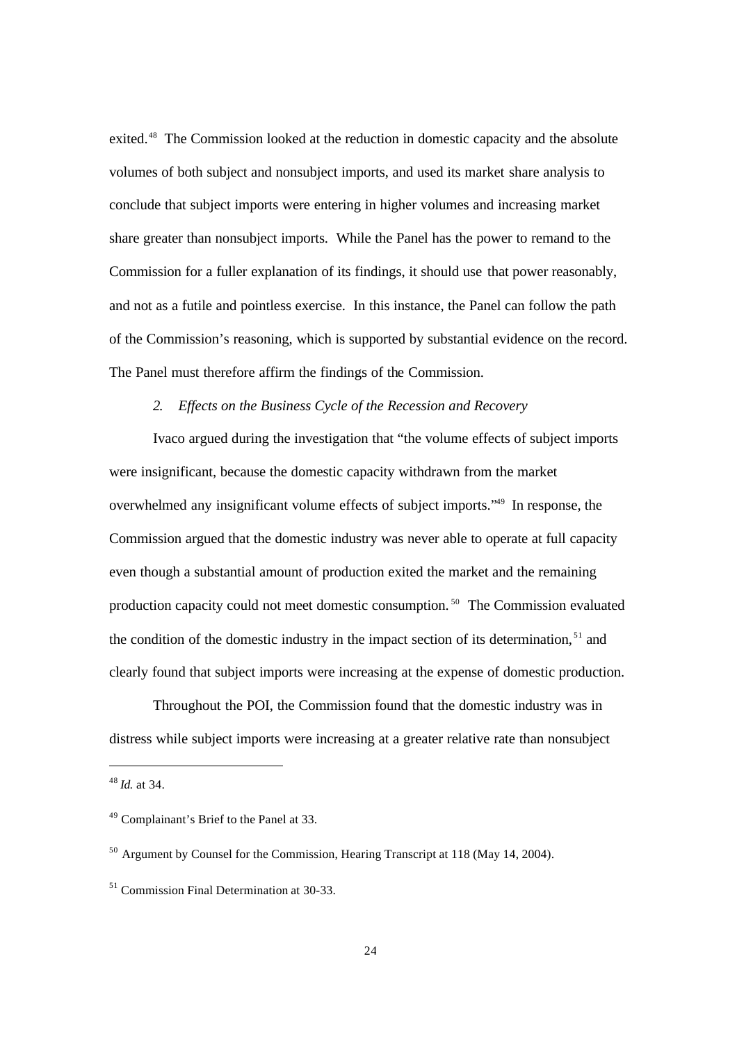exited.<sup>48</sup> The Commission looked at the reduction in domestic capacity and the absolute volumes of both subject and nonsubject imports, and used its market share analysis to conclude that subject imports were entering in higher volumes and increasing market share greater than nonsubject imports. While the Panel has the power to remand to the Commission for a fuller explanation of its findings, it should use that power reasonably, and not as a futile and pointless exercise. In this instance, the Panel can follow the path of the Commission's reasoning, which is supported by substantial evidence on the record. The Panel must therefore affirm the findings of the Commission.

# *2. Effects on the Business Cycle of the Recession and Recovery*

Ivaco argued during the investigation that "the volume effects of subject imports were insignificant, because the domestic capacity withdrawn from the market overwhelmed any insignificant volume effects of subject imports."<sup>49</sup> In response, the Commission argued that the domestic industry was never able to operate at full capacity even though a substantial amount of production exited the market and the remaining production capacity could not meet domestic consumption. <sup>50</sup> The Commission evaluated the condition of the domestic industry in the impact section of its determination.<sup>51</sup> and clearly found that subject imports were increasing at the expense of domestic production.

Throughout the POI, the Commission found that the domestic industry was in distress while subject imports were increasing at a greater relative rate than nonsubject

<sup>48</sup> *Id.* at 34.

<sup>49</sup> Complainant's Brief to the Panel at 33.

<sup>50</sup> Argument by Counsel for the Commission, Hearing Transcript at 118 (May 14, 2004).

<sup>&</sup>lt;sup>51</sup> Commission Final Determination at 30-33.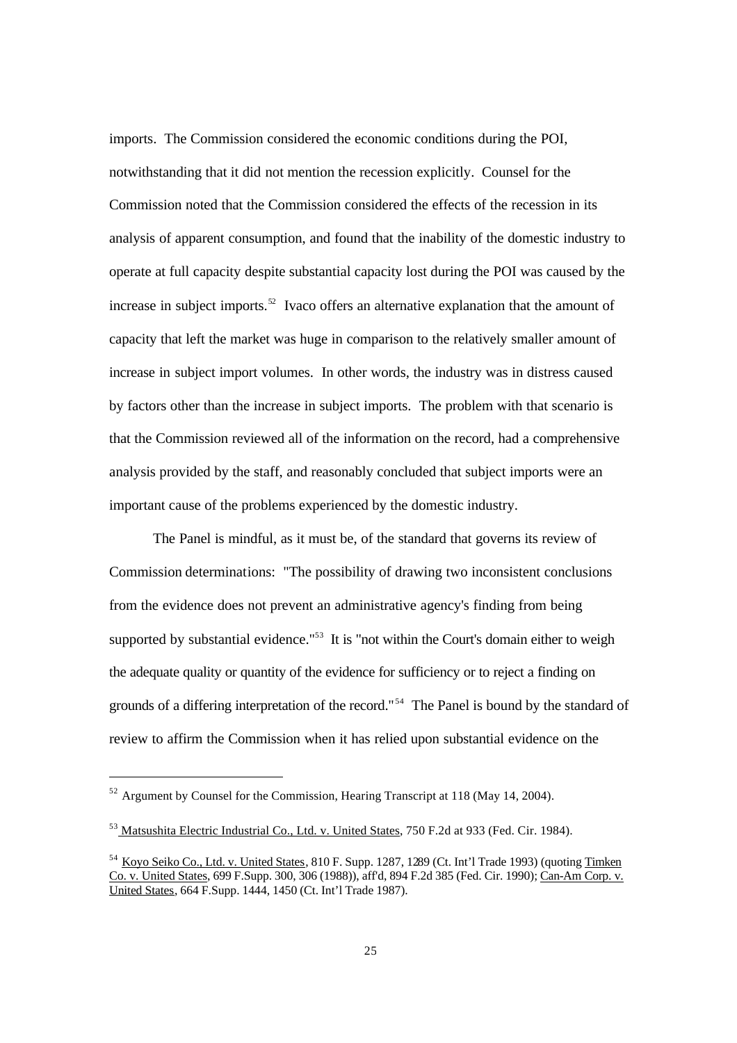imports. The Commission considered the economic conditions during the POI, notwithstanding that it did not mention the recession explicitly. Counsel for the Commission noted that the Commission considered the effects of the recession in its analysis of apparent consumption, and found that the inability of the domestic industry to operate at full capacity despite substantial capacity lost during the POI was caused by the increase in subject imports.<sup>52</sup> Ivaco offers an alternative explanation that the amount of capacity that left the market was huge in comparison to the relatively smaller amount of increase in subject import volumes. In other words, the industry was in distress caused by factors other than the increase in subject imports. The problem with that scenario is that the Commission reviewed all of the information on the record, had a comprehensive analysis provided by the staff, and reasonably concluded that subject imports were an important cause of the problems experienced by the domestic industry.

The Panel is mindful, as it must be, of the standard that governs its review of Commission determinations: "The possibility of drawing two inconsistent conclusions from the evidence does not prevent an administrative agency's finding from being supported by substantial evidence."<sup>53</sup> It is "not within the Court's domain either to weigh the adequate quality or quantity of the evidence for sufficiency or to reject a finding on grounds of a differing interpretation of the record."<sup>54</sup> The Panel is bound by the standard of review to affirm the Commission when it has relied upon substantial evidence on the

 $52$  Argument by Counsel for the Commission, Hearing Transcript at 118 (May 14, 2004).

<sup>53</sup> Matsushita Electric Industrial Co., Ltd. v. United States, 750 F.2d at 933 (Fed. Cir. 1984).

<sup>54</sup> Koyo Seiko Co., Ltd. v. United States, 810 F. Supp. 1287, 1289 (Ct. Int'l Trade 1993) (quoting Timken Co. v. United States, 699 F.Supp. 300, 306 (1988)), aff'd, 894 F.2d 385 (Fed. Cir. 1990); Can-Am Corp. v. United States, 664 F.Supp. 1444, 1450 (Ct. Int'l Trade 1987).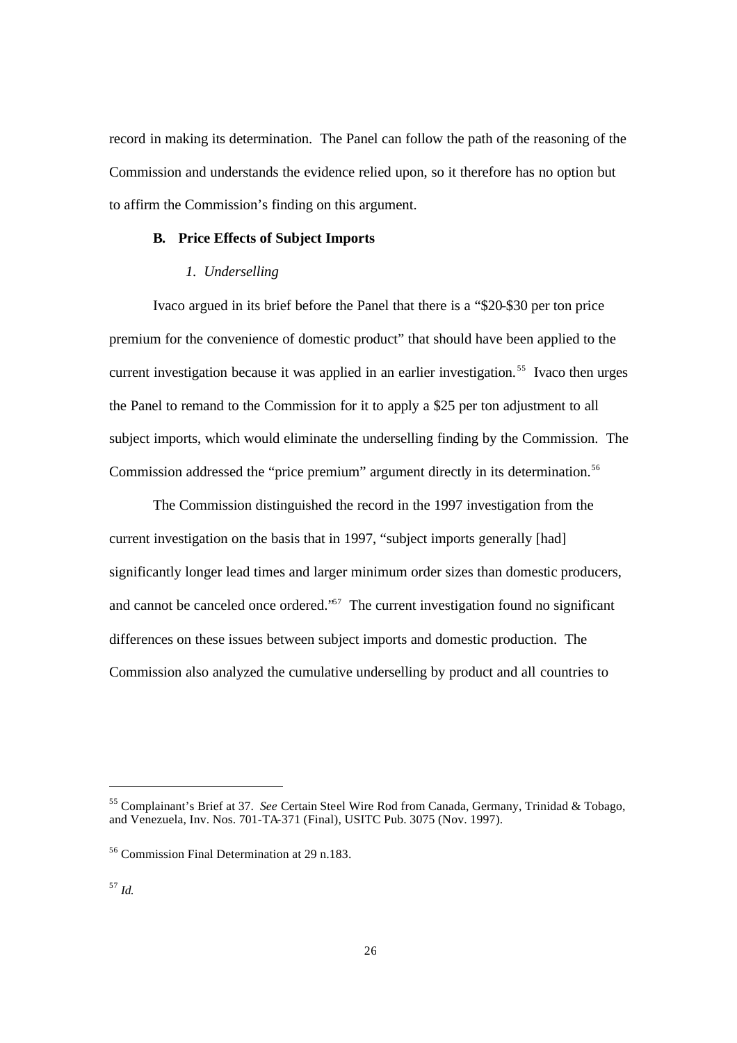record in making its determination. The Panel can follow the path of the reasoning of the Commission and understands the evidence relied upon, so it therefore has no option but to affirm the Commission's finding on this argument.

#### **B. Price Effects of Subject Imports**

## *1. Underselling*

Ivaco argued in its brief before the Panel that there is a "\$20-\$30 per ton price premium for the convenience of domestic product" that should have been applied to the current investigation because it was applied in an earlier investigation.<sup>55</sup> Ivaco then urges the Panel to remand to the Commission for it to apply a \$25 per ton adjustment to all subject imports, which would eliminate the underselling finding by the Commission. The Commission addressed the "price premium" argument directly in its determination.<sup>56</sup>

The Commission distinguished the record in the 1997 investigation from the current investigation on the basis that in 1997, "subject imports generally [had] significantly longer lead times and larger minimum order sizes than domestic producers, and cannot be canceled once ordered.<sup>57</sup> The current investigation found no significant differences on these issues between subject imports and domestic production. The Commission also analyzed the cumulative underselling by product and all countries to

l

<sup>55</sup> Complainant's Brief at 37. *See* Certain Steel Wire Rod from Canada, Germany, Trinidad & Tobago, and Venezuela, Inv. Nos. 701-TA-371 (Final), USITC Pub. 3075 (Nov. 1997).

<sup>56</sup> Commission Final Determination at 29 n.183.

<sup>57</sup> *Id.*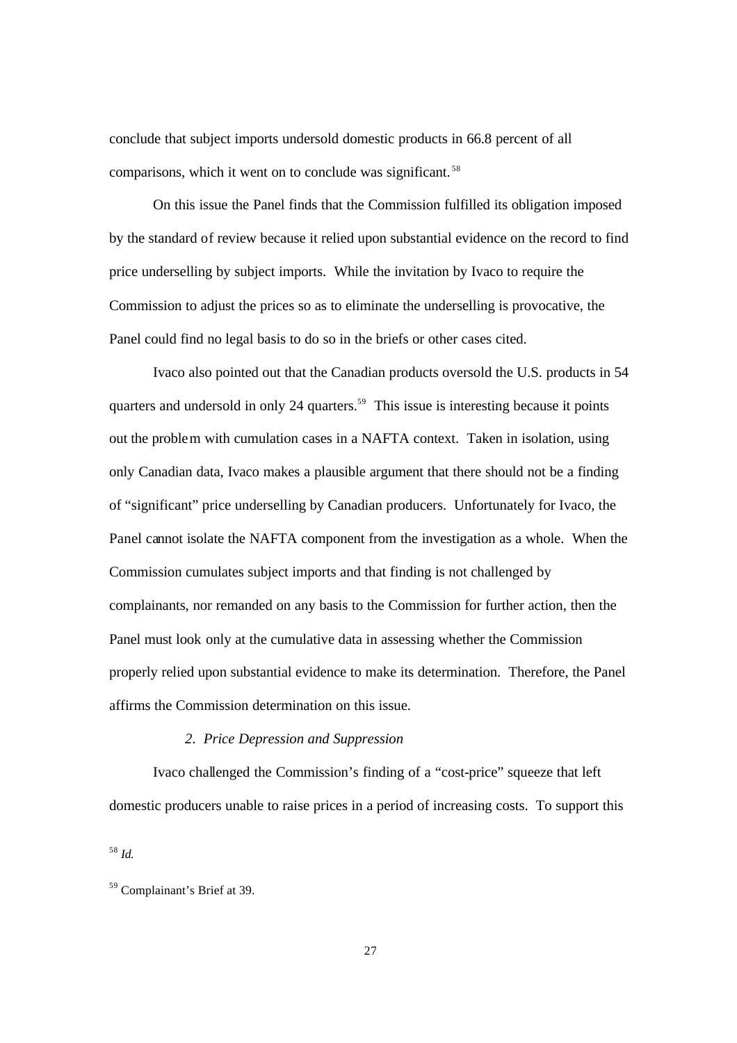conclude that subject imports undersold domestic products in 66.8 percent of all comparisons, which it went on to conclude was significant.<sup>58</sup>

On this issue the Panel finds that the Commission fulfilled its obligation imposed by the standard of review because it relied upon substantial evidence on the record to find price underselling by subject imports. While the invitation by Ivaco to require the Commission to adjust the prices so as to eliminate the underselling is provocative, the Panel could find no legal basis to do so in the briefs or other cases cited.

Ivaco also pointed out that the Canadian products oversold the U.S. products in 54 quarters and undersold in only 24 quarters.<sup>59</sup> This issue is interesting because it points out the problem with cumulation cases in a NAFTA context. Taken in isolation, using only Canadian data, Ivaco makes a plausible argument that there should not be a finding of "significant" price underselling by Canadian producers. Unfortunately for Ivaco, the Panel cannot isolate the NAFTA component from the investigation as a whole. When the Commission cumulates subject imports and that finding is not challenged by complainants, nor remanded on any basis to the Commission for further action, then the Panel must look only at the cumulative data in assessing whether the Commission properly relied upon substantial evidence to make its determination. Therefore, the Panel affirms the Commission determination on this issue.

# *2. Price Depression and Suppression*

Ivaco challenged the Commission's finding of a "cost-price" squeeze that left domestic producers unable to raise prices in a period of increasing costs. To support this

<sup>58</sup> *Id.*

<sup>59</sup> Complainant's Brief at 39.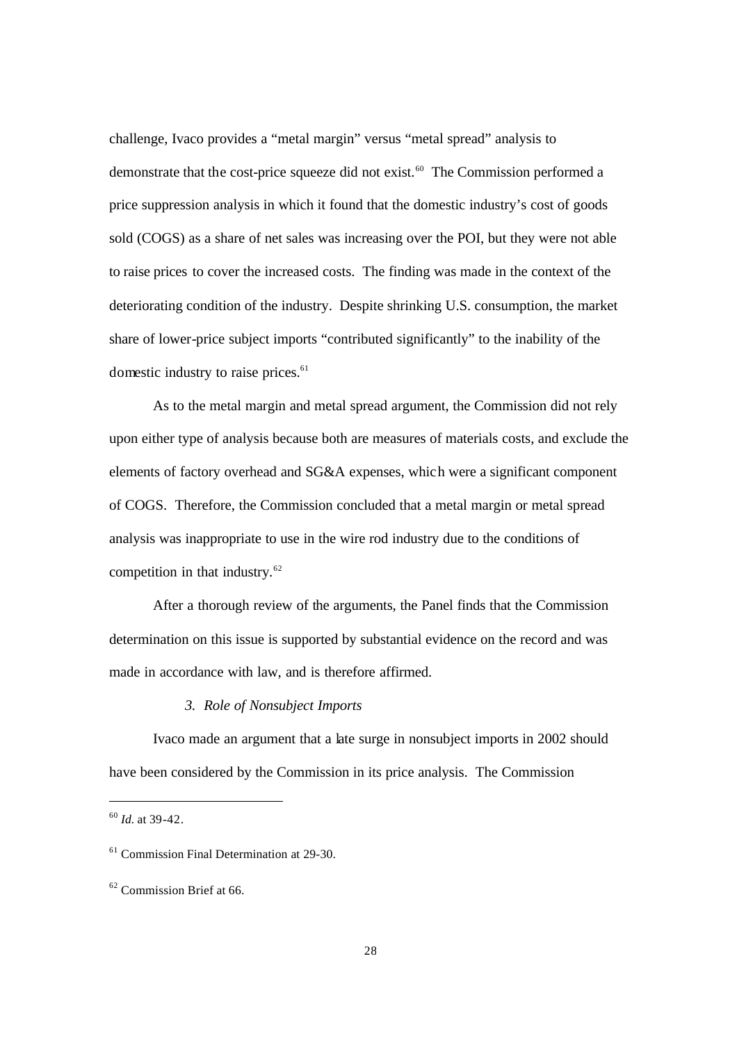challenge, Ivaco provides a "metal margin" versus "metal spread" analysis to demonstrate that the cost-price squeeze did not exist.<sup>60</sup> The Commission performed a price suppression analysis in which it found that the domestic industry's cost of goods sold (COGS) as a share of net sales was increasing over the POI, but they were not able to raise prices to cover the increased costs. The finding was made in the context of the deteriorating condition of the industry. Despite shrinking U.S. consumption, the market share of lower-price subject imports "contributed significantly" to the inability of the domestic industry to raise prices.<sup>61</sup>

As to the metal margin and metal spread argument, the Commission did not rely upon either type of analysis because both are measures of materials costs, and exclude the elements of factory overhead and SG&A expenses, which were a significant component of COGS. Therefore, the Commission concluded that a metal margin or metal spread analysis was inappropriate to use in the wire rod industry due to the conditions of competition in that industry.<sup>62</sup>

After a thorough review of the arguments, the Panel finds that the Commission determination on this issue is supported by substantial evidence on the record and was made in accordance with law, and is therefore affirmed.

## *3. Role of Nonsubject Imports*

Ivaco made an argument that a late surge in nonsubject imports in 2002 should have been considered by the Commission in its price analysis. The Commission

<sup>60</sup> *Id.* at 39-42.

<sup>61</sup> Commission Final Determination at 29-30.

<sup>&</sup>lt;sup>62</sup> Commission Brief at 66.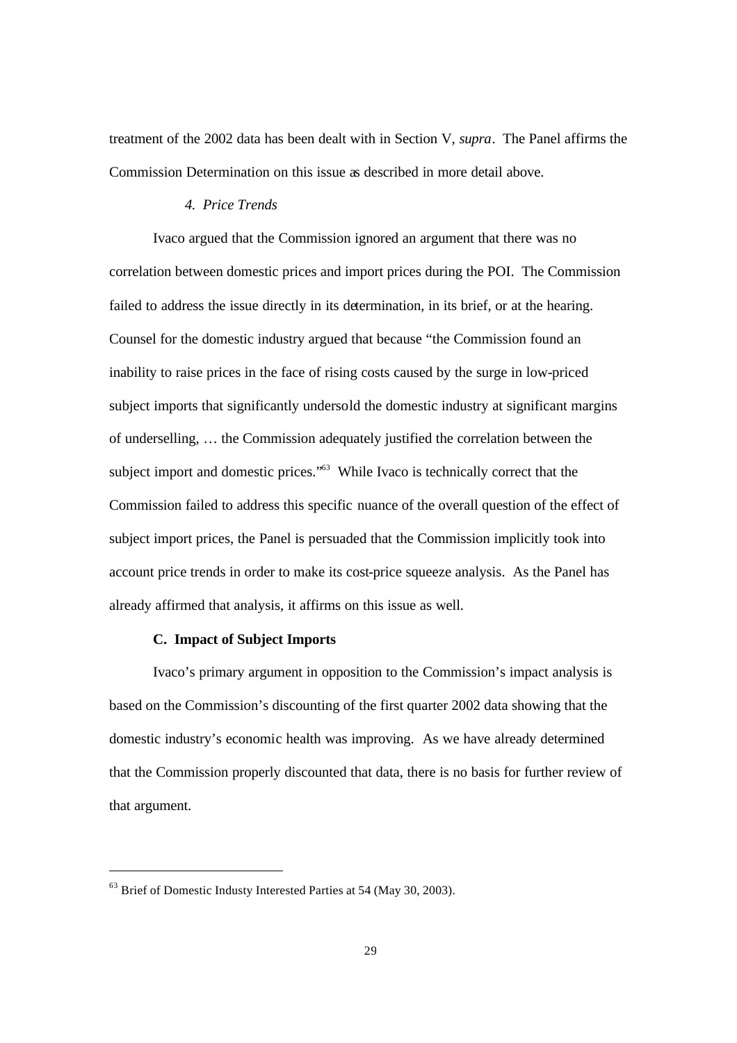treatment of the 2002 data has been dealt with in Section V, *supra*. The Panel affirms the Commission Determination on this issue as described in more detail above.

### *4. Price Trends*

Ivaco argued that the Commission ignored an argument that there was no correlation between domestic prices and import prices during the POI. The Commission failed to address the issue directly in its determination, in its brief, or at the hearing. Counsel for the domestic industry argued that because "the Commission found an inability to raise prices in the face of rising costs caused by the surge in low-priced subject imports that significantly undersold the domestic industry at significant margins of underselling, … the Commission adequately justified the correlation between the subject import and domestic prices."<sup>63</sup> While Ivaco is technically correct that the Commission failed to address this specific nuance of the overall question of the effect of subject import prices, the Panel is persuaded that the Commission implicitly took into account price trends in order to make its cost-price squeeze analysis. As the Panel has already affirmed that analysis, it affirms on this issue as well.

### **C. Impact of Subject Imports**

Ivaco's primary argument in opposition to the Commission's impact analysis is based on the Commission's discounting of the first quarter 2002 data showing that the domestic industry's economic health was improving. As we have already determined that the Commission properly discounted that data, there is no basis for further review of that argument.

-

 $63$  Brief of Domestic Industy Interested Parties at 54 (May 30, 2003).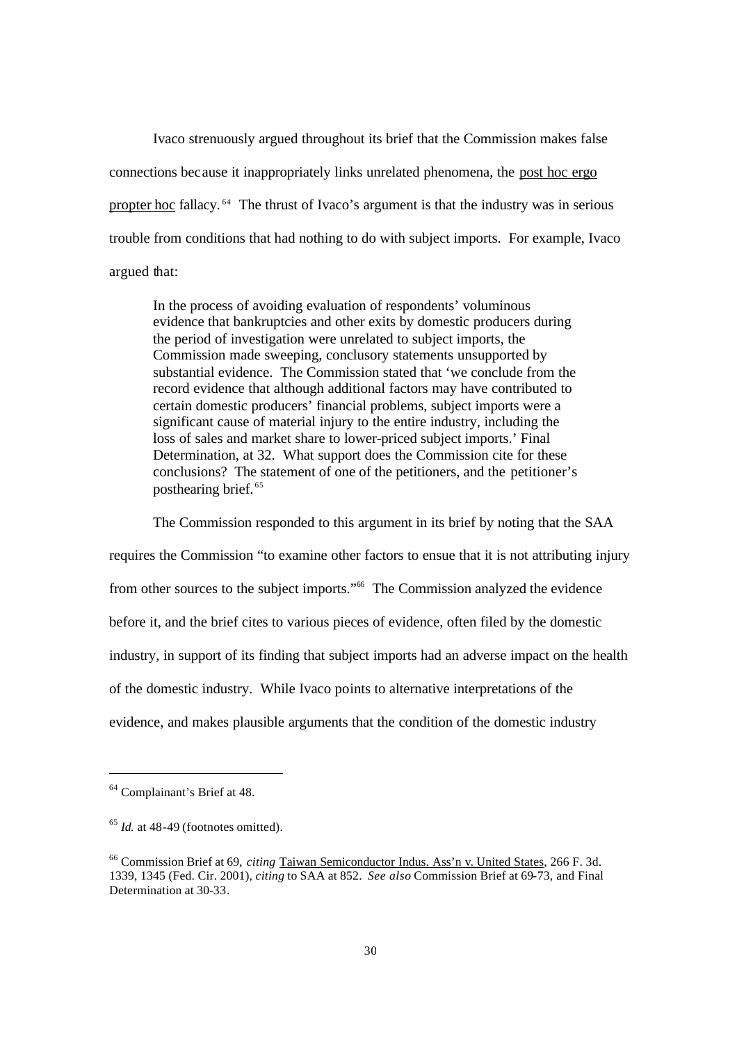Ivaco strenuously argued throughout its brief that the Commission makes false connections because it inappropriately links unrelated phenomena, the post hoc ergo propter hoc fallacy. <sup>64</sup> The thrust of Ivaco's argument is that the industry was in serious trouble from conditions that had nothing to do with subject imports. For example, Ivaco argued that:

In the process of avoiding evaluation of respondents' voluminous evidence that bankruptcies and other exits by domestic producers during the period of investigation were unrelated to subject imports, the Commission made sweeping, conclusory statements unsupported by substantial evidence. The Commission stated that 'we conclude from the record evidence that although additional factors may have contributed to certain domestic producers' financial problems, subject imports were a significant cause of material injury to the entire industry, including the loss of sales and market share to lower-priced subject imports.' Final Determination, at 32. What support does the Commission cite for these conclusions? The statement of one of the petitioners, and the petitioner's posthearing brief. <sup>65</sup>

The Commission responded to this argument in its brief by noting that the SAA requires the Commission "to examine other factors to ensue that it is not attributing injury from other sources to the subject imports."<sup>66</sup> The Commission analyzed the evidence before it, and the brief cites to various pieces of evidence, often filed by the domestic industry, in support of its finding that subject imports had an adverse impact on the health of the domestic industry. While Ivaco points to alternative interpretations of the evidence, and makes plausible arguments that the condition of the domestic industry

<sup>64</sup> Complainant's Brief at 48.

<sup>&</sup>lt;sup>65</sup> *Id.* at 48-49 (footnotes omitted).

<sup>66</sup> Commission Brief at 69, *citing* Taiwan Semiconductor Indus. Ass'n v. United States, 266 F. 3d. 1339, 1345 (Fed. Cir. 2001), *citing* to SAA at 852. *See also* Commission Brief at 69-73, and Final Determination at 30-33.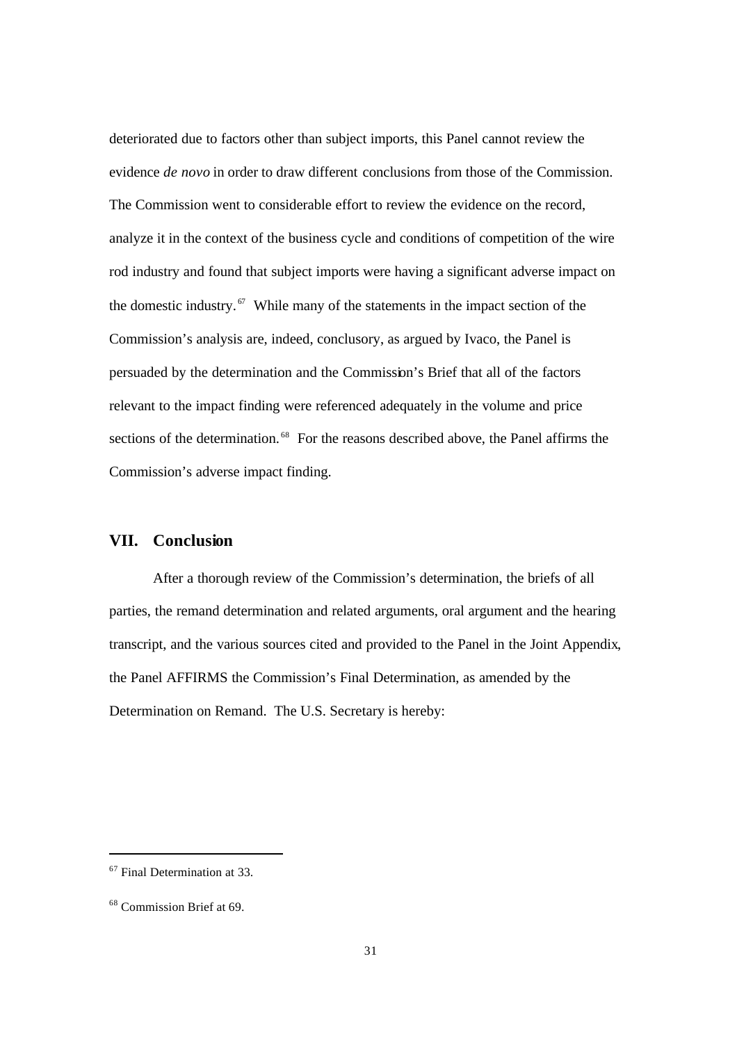deteriorated due to factors other than subject imports, this Panel cannot review the evidence *de novo* in order to draw different conclusions from those of the Commission. The Commission went to considerable effort to review the evidence on the record, analyze it in the context of the business cycle and conditions of competition of the wire rod industry and found that subject imports were having a significant adverse impact on the domestic industry.<sup> $67$ </sup> While many of the statements in the impact section of the Commission's analysis are, indeed, conclusory, as argued by Ivaco, the Panel is persuaded by the determination and the Commission's Brief that all of the factors relevant to the impact finding were referenced adequately in the volume and price sections of the determination.<sup>68</sup> For the reasons described above, the Panel affirms the Commission's adverse impact finding.

## **VII. Conclusion**

After a thorough review of the Commission's determination, the briefs of all parties, the remand determination and related arguments, oral argument and the hearing transcript, and the various sources cited and provided to the Panel in the Joint Appendix, the Panel AFFIRMS the Commission's Final Determination, as amended by the Determination on Remand. The U.S. Secretary is hereby:

l

<sup>67</sup> Final Determination at 33.

<sup>68</sup> Commission Brief at 69.